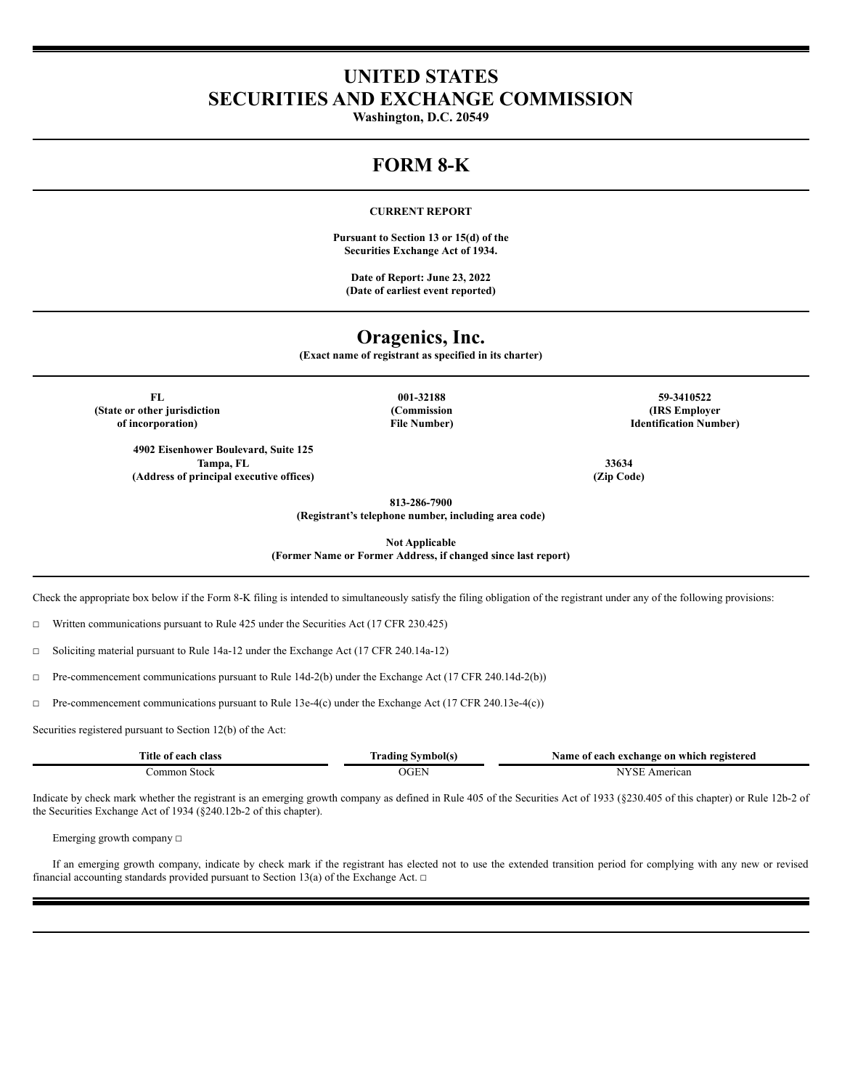# **UNITED STATES SECURITIES AND EXCHANGE COMMISSION**

**Washington, D.C. 20549**

# **FORM 8-K**

### **CURRENT REPORT**

**Pursuant to Section 13 or 15(d) of the Securities Exchange Act of 1934.**

**Date of Report: June 23, 2022 (Date of earliest event reported)**

# **Oragenics, Inc.**

**(Exact name of registrant as specified in its charter)**

**(State or other jurisdiction of incorporation)**

> **4902 Eisenhower Boulevard, Suite 125 Tampa, FL 33634 (Address of principal executive offices) (Zip Code)**

**(Commission File Number)**

**FL 001-32188 59-3410522 (IRS Employer Identification Number)**

**813-286-7900**

**(Registrant's telephone number, including area code)**

**Not Applicable**

**(Former Name or Former Address, if changed since last report)**

Check the appropriate box below if the Form 8-K filing is intended to simultaneously satisfy the filing obligation of the registrant under any of the following provisions:

 $\Box$  Written communications pursuant to Rule 425 under the Securities Act (17 CFR 230.425)

☐ Soliciting material pursuant to Rule 14a-12 under the Exchange Act (17 CFR 240.14a-12)

☐ Pre-commencement communications pursuant to Rule 14d-2(b) under the Exchange Act (17 CFR 240.14d-2(b))

☐ Pre-commencement communications pursuant to Rule 13e-4(c) under the Exchange Act (17 CFR 240.13e-4(c))

Securities registered pursuant to Section 12(b) of the Act:

| Title of each<br>class | mbolís<br><b>WEIGHT</b><br>rading | registered<br>Name of<br>exchange on<br>each<br>. which |
|------------------------|-----------------------------------|---------------------------------------------------------|
| ommon<br>Stock         | OGE.                              | American                                                |

Indicate by check mark whether the registrant is an emerging growth company as defined in Rule 405 of the Securities Act of 1933 (§230.405 of this chapter) or Rule 12b-2 of the Securities Exchange Act of 1934 (§240.12b-2 of this chapter).

Emerging growth company ☐

If an emerging growth company, indicate by check mark if the registrant has elected not to use the extended transition period for complying with any new or revised financial accounting standards provided pursuant to Section 13(a) of the Exchange Act.  $\Box$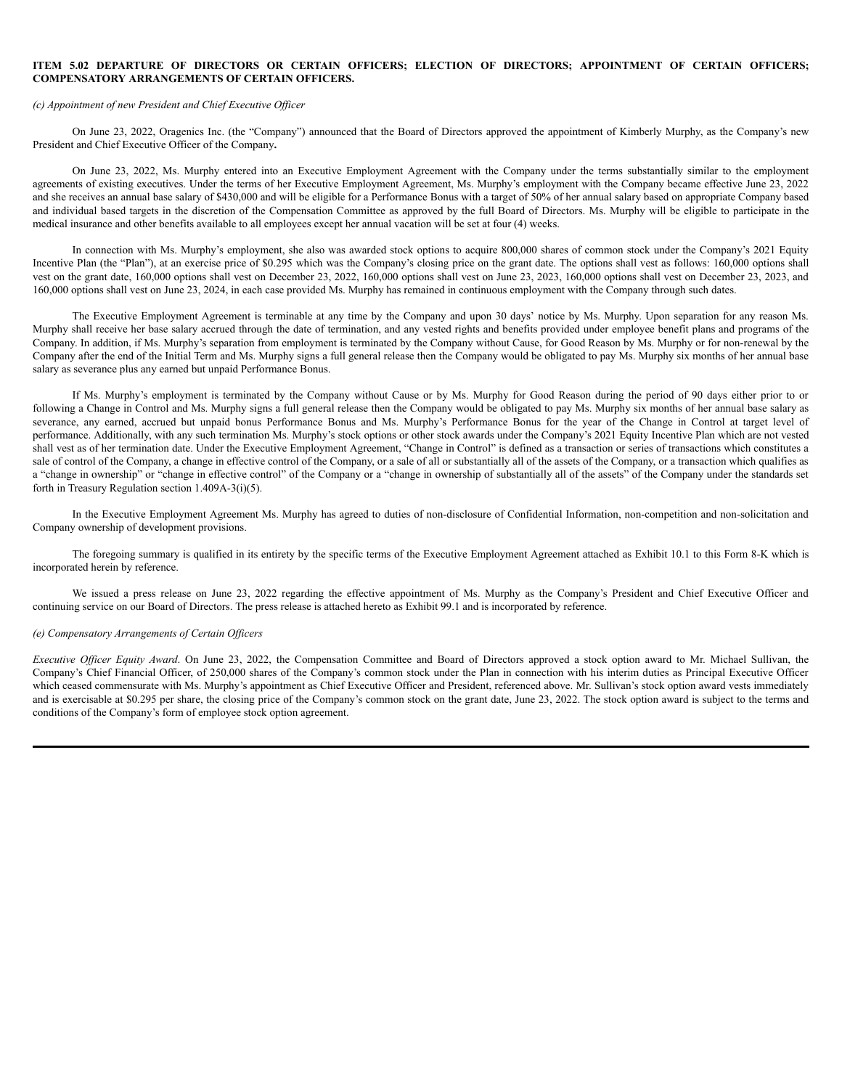#### **ITEM 5.02 DEPARTURE OF DIRECTORS OR CERTAIN OFFICERS; ELECTION OF DIRECTORS; APPOINTMENT OF CERTAIN OFFICERS; COMPENSATORY ARRANGEMENTS OF CERTAIN OFFICERS.**

#### *(c) Appointment of new President and Chief Executive Of icer*

On June 23, 2022, Oragenics Inc. (the "Company") announced that the Board of Directors approved the appointment of Kimberly Murphy, as the Company's new President and Chief Executive Officer of the Company**.**

On June 23, 2022, Ms. Murphy entered into an Executive Employment Agreement with the Company under the terms substantially similar to the employment agreements of existing executives. Under the terms of her Executive Employment Agreement, Ms. Murphy's employment with the Company became effective June 23, 2022 and she receives an annual base salary of \$430,000 and will be eligible for a Performance Bonus with a target of 50% of her annual salary based on appropriate Company based and individual based targets in the discretion of the Compensation Committee as approved by the full Board of Directors. Ms. Murphy will be eligible to participate in the medical insurance and other benefits available to all employees except her annual vacation will be set at four (4) weeks.

In connection with Ms. Murphy's employment, she also was awarded stock options to acquire 800,000 shares of common stock under the Company's 2021 Equity Incentive Plan (the "Plan"), at an exercise price of \$0.295 which was the Company's closing price on the grant date. The options shall vest as follows: 160,000 options shall vest on the grant date, 160,000 options shall vest on December 23, 2022, 160,000 options shall vest on June 23, 2023, 160,000 options shall vest on December 23, 2023, and 160,000 options shall vest on June 23, 2024, in each case provided Ms. Murphy has remained in continuous employment with the Company through such dates.

The Executive Employment Agreement is terminable at any time by the Company and upon 30 days' notice by Ms. Murphy. Upon separation for any reason Ms. Murphy shall receive her base salary accrued through the date of termination, and any vested rights and benefits provided under employee benefit plans and programs of the Company. In addition, if Ms. Murphy's separation from employment is terminated by the Company without Cause, for Good Reason by Ms. Murphy or for non-renewal by the Company after the end of the Initial Term and Ms. Murphy signs a full general release then the Company would be obligated to pay Ms. Murphy six months of her annual base salary as severance plus any earned but unpaid Performance Bonus.

If Ms. Murphy's employment is terminated by the Company without Cause or by Ms. Murphy for Good Reason during the period of 90 days either prior to or following a Change in Control and Ms. Murphy signs a full general release then the Company would be obligated to pay Ms. Murphy six months of her annual base salary as severance, any earned, accrued but unpaid bonus Performance Bonus and Ms. Murphy's Performance Bonus for the year of the Change in Control at target level of performance. Additionally, with any such termination Ms. Murphy's stock options or other stock awards under the Company's 2021 Equity Incentive Plan which are not vested shall vest as of her termination date. Under the Executive Employment Agreement, "Change in Control" is defined as a transaction or series of transactions which constitutes a sale of control of the Company, a change in effective control of the Company, or a sale of all or substantially all of the assets of the Company, or a transaction which qualifies as a "change in ownership" or "change in effective control" of the Company or a "change in ownership of substantially all of the assets" of the Company under the standards set forth in Treasury Regulation section 1.409A-3(i)(5).

In the Executive Employment Agreement Ms. Murphy has agreed to duties of non-disclosure of Confidential Information, non-competition and non-solicitation and Company ownership of development provisions.

The foregoing summary is qualified in its entirety by the specific terms of the Executive Employment Agreement attached as Exhibit 10.1 to this Form 8-K which is incorporated herein by reference.

We issued a press release on June 23, 2022 regarding the effective appointment of Ms. Murphy as the Company's President and Chief Executive Officer and continuing service on our Board of Directors. The press release is attached hereto as Exhibit 99.1 and is incorporated by reference.

#### *(e) Compensatory Arrangements of Certain Of icers*

*Executive Of icer Equity Award*. On June 23, 2022, the Compensation Committee and Board of Directors approved a stock option award to Mr. Michael Sullivan, the Company's Chief Financial Officer, of 250,000 shares of the Company's common stock under the Plan in connection with his interim duties as Principal Executive Officer which ceased commensurate with Ms. Murphy's appointment as Chief Executive Officer and President, referenced above. Mr. Sullivan's stock option award vests immediately and is exercisable at \$0.295 per share, the closing price of the Company's common stock on the grant date, June 23, 2022. The stock option award is subject to the terms and conditions of the Company's form of employee stock option agreement.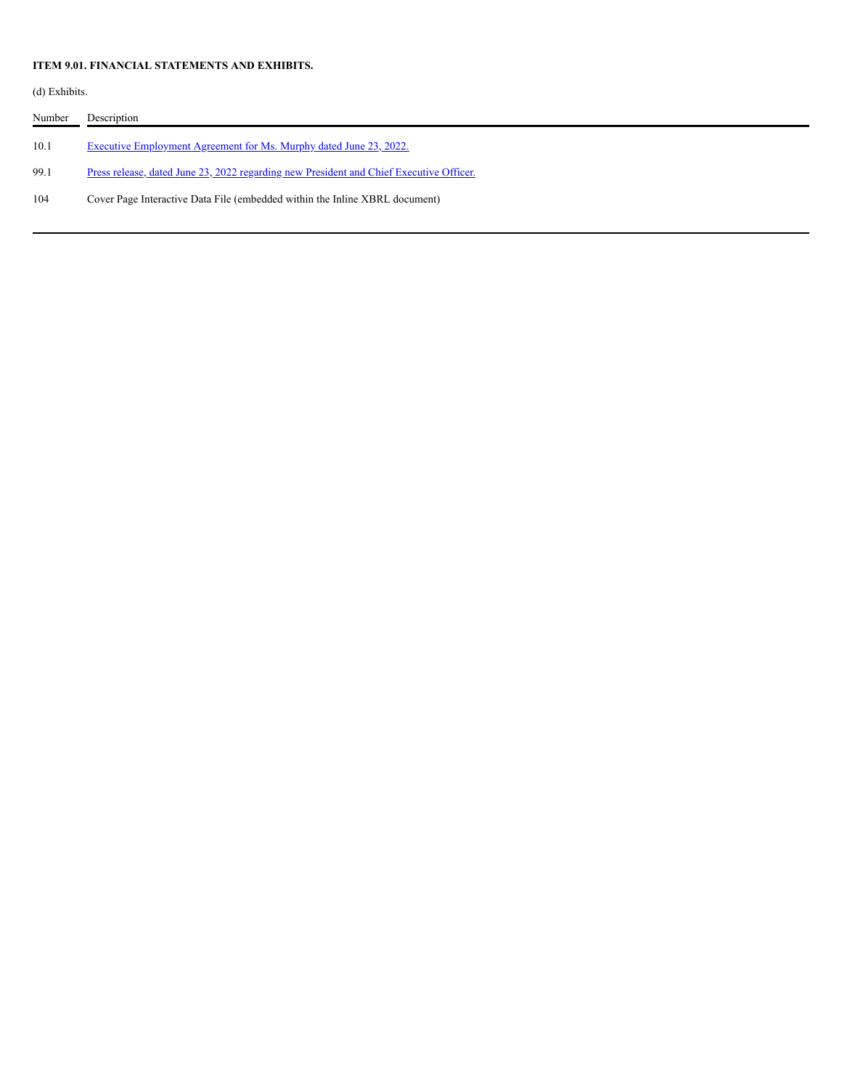# **ITEM 9.01. FINANCIAL STATEMENTS AND EXHIBITS.**

(d) Exhibits.

| Number | Description                                                                                    |
|--------|------------------------------------------------------------------------------------------------|
| 10.1   | Executive Employment Agreement for Ms. Murphy dated June 23, 2022.                             |
| 99.1   | <u>Press release, dated June 23, 2022 regarding new President and Chief Executive Officer.</u> |
| 104    | Cover Page Interactive Data File (embedded within the Inline XBRL document)                    |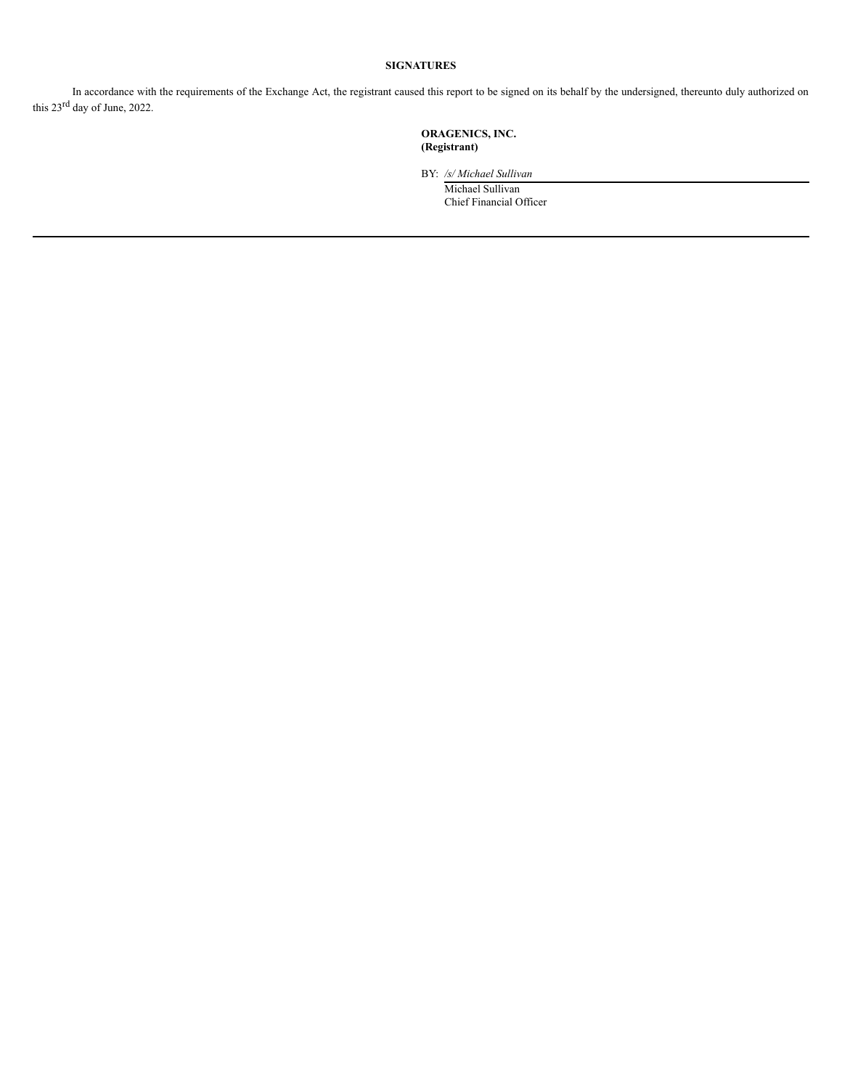# **SIGNATURES**

In accordance with the requirements of the Exchange Act, the registrant caused this report to be signed on its behalf by the undersigned, thereunto duly authorized on this  $23^{\text{rd}}$  day of June, 2022.

# **ORAGENICS, INC. (Registrant)**

BY: */s/ Michael Sullivan*

Michael Sullivan Chief Financial Officer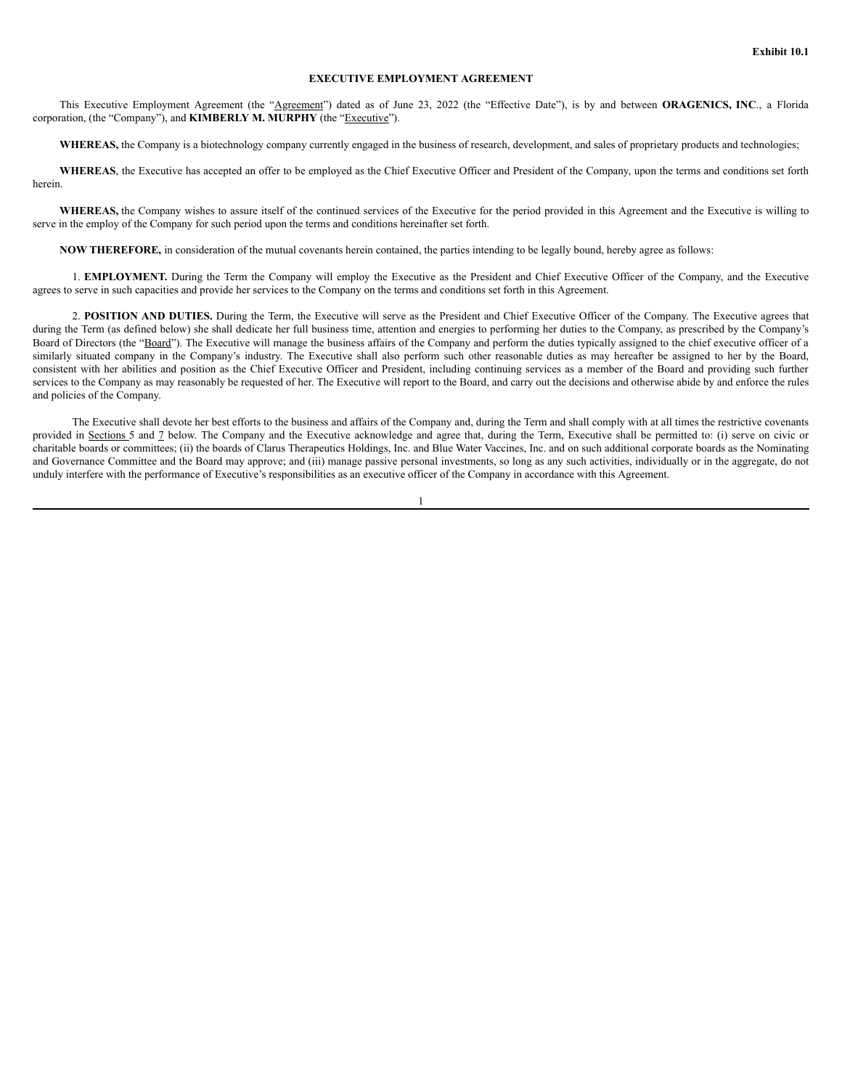#### **EXECUTIVE EMPLOYMENT AGREEMENT**

This Executive Employment Agreement (the "Agreement") dated as of June 23, 2022 (the "Effective Date"), is by and between **ORAGENICS, INC**., a Florida corporation, (the "Company"), and **KIMBERLY M. MURPHY** (the "Executive").

**WHEREAS,** the Company is a biotechnology company currently engaged in the business of research, development, and sales of proprietary products and technologies;

**WHEREAS**, the Executive has accepted an offer to be employed as the Chief Executive Officer and President of the Company, upon the terms and conditions set forth herein.

**WHEREAS,** the Company wishes to assure itself of the continued services of the Executive for the period provided in this Agreement and the Executive is willing to serve in the employ of the Company for such period upon the terms and conditions hereinafter set forth.

**NOW THEREFORE,** in consideration of the mutual covenants herein contained, the parties intending to be legally bound, hereby agree as follows:

1. **EMPLOYMENT.** During the Term the Company will employ the Executive as the President and Chief Executive Officer of the Company, and the Executive agrees to serve in such capacities and provide her services to the Company on the terms and conditions set forth in this Agreement.

2. **POSITION AND DUTIES.** During the Term, the Executive will serve as the President and Chief Executive Officer of the Company. The Executive agrees that during the Term (as defined below) she shall dedicate her full business time, attention and energies to performing her duties to the Company, as prescribed by the Company's Board of Directors (the "Board"). The Executive will manage the business affairs of the Company and perform the duties typically assigned to the chief executive officer of a similarly situated company in the Company's industry. The Executive shall also perform such other reasonable duties as may hereafter be assigned to her by the Board, consistent with her abilities and position as the Chief Executive Officer and President, including continuing services as a member of the Board and providing such further services to the Company as may reasonably be requested of her. The Executive will report to the Board, and carry out the decisions and otherwise abide by and enforce the rules and policies of the Company.

The Executive shall devote her best efforts to the business and affairs of the Company and, during the Term and shall comply with at all times the restrictive covenants provided in Sections 5 and 7 below. The Company and the Executive acknowledge and agree that, during the Term, Executive shall be permitted to: (i) serve on civic or charitable boards or committees; (ii) the boards of Clarus Therapeutics Holdings, Inc. and Blue Water Vaccines, Inc. and on such additional corporate boards as the Nominating and Governance Committee and the Board may approve; and (iii) manage passive personal investments, so long as any such activities, individually or in the aggregate, do not unduly interfere with the performance of Executive's responsibilities as an executive officer of the Company in accordance with this Agreement.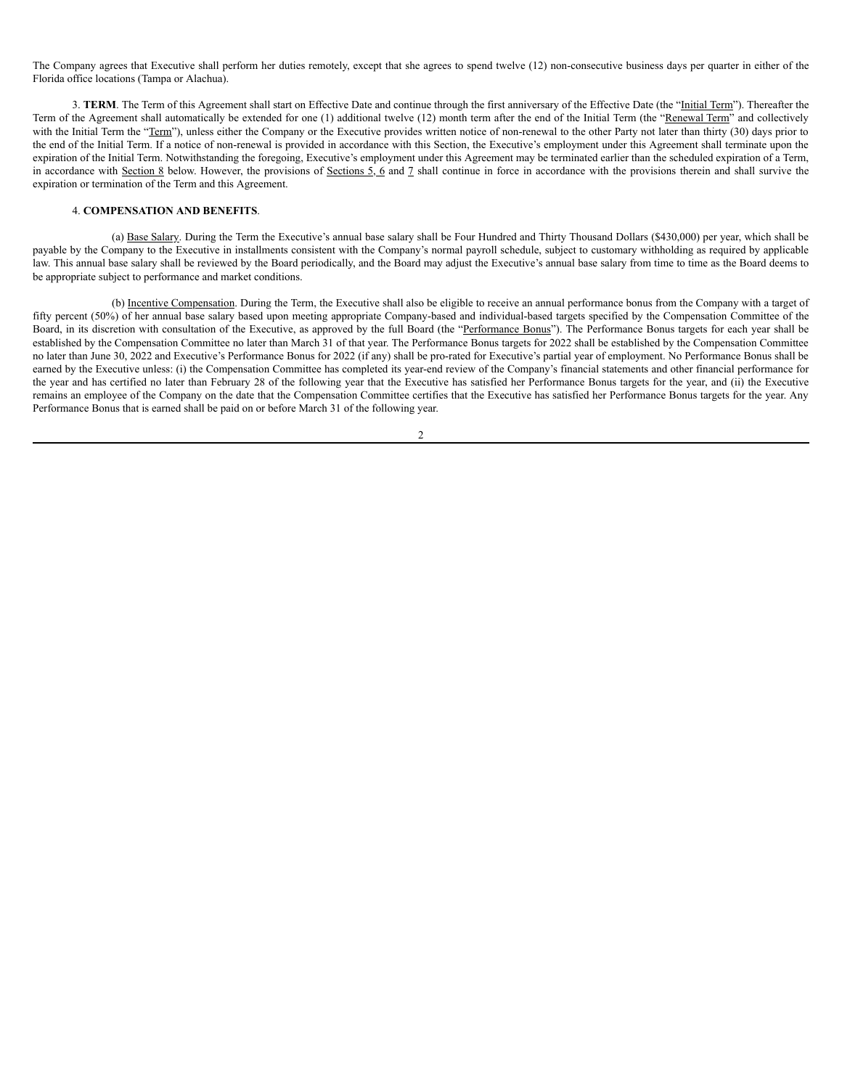The Company agrees that Executive shall perform her duties remotely, except that she agrees to spend twelve (12) non-consecutive business days per quarter in either of the Florida office locations (Tampa or Alachua).

3. **TERM**. The Term of this Agreement shall start on Effective Date and continue through the first anniversary of the Effective Date (the "Initial Term"). Thereafter the Term of the Agreement shall automatically be extended for one (1) additional twelve (12) month term after the end of the Initial Term (the "Renewal Term" and collectively with the Initial Term the "Term"), unless either the Company or the Executive provides written notice of non-renewal to the other Party not later than thirty (30) days prior to the end of the Initial Term. If a notice of non-renewal is provided in accordance with this Section, the Executive's employment under this Agreement shall terminate upon the expiration of the Initial Term. Notwithstanding the foregoing, Executive's employment under this Agreement may be terminated earlier than the scheduled expiration of a Term, in accordance with Section 8 below. However, the provisions of Sections 5, 6 and 7 shall continue in force in accordance with the provisions therein and shall survive the expiration or termination of the Term and this Agreement.

# 4. **COMPENSATION AND BENEFITS**.

(a) Base Salary. During the Term the Executive's annual base salary shall be Four Hundred and Thirty Thousand Dollars (\$430,000) per year, which shall be payable by the Company to the Executive in installments consistent with the Company's normal payroll schedule, subject to customary withholding as required by applicable law. This annual base salary shall be reviewed by the Board periodically, and the Board may adjust the Executive's annual base salary from time to time as the Board deems to be appropriate subject to performance and market conditions.

(b) Incentive Compensation. During the Term, the Executive shall also be eligible to receive an annual performance bonus from the Company with a target of fifty percent (50%) of her annual base salary based upon meeting appropriate Company-based and individual-based targets specified by the Compensation Committee of the Board, in its discretion with consultation of the Executive, as approved by the full Board (the "Performance Bonus"). The Performance Bonus targets for each year shall be established by the Compensation Committee no later than March 31 of that year. The Performance Bonus targets for 2022 shall be established by the Compensation Committee no later than June 30, 2022 and Executive's Performance Bonus for 2022 (if any) shall be pro-rated for Executive's partial year of employment. No Performance Bonus shall be earned by the Executive unless: (i) the Compensation Committee has completed its year-end review of the Company's financial statements and other financial performance for the year and has certified no later than February 28 of the following year that the Executive has satisfied her Performance Bonus targets for the year, and (ii) the Executive remains an employee of the Company on the date that the Compensation Committee certifies that the Executive has satisfied her Performance Bonus targets for the year. Any Performance Bonus that is earned shall be paid on or before March 31 of the following year.

 $\mathfrak{D}$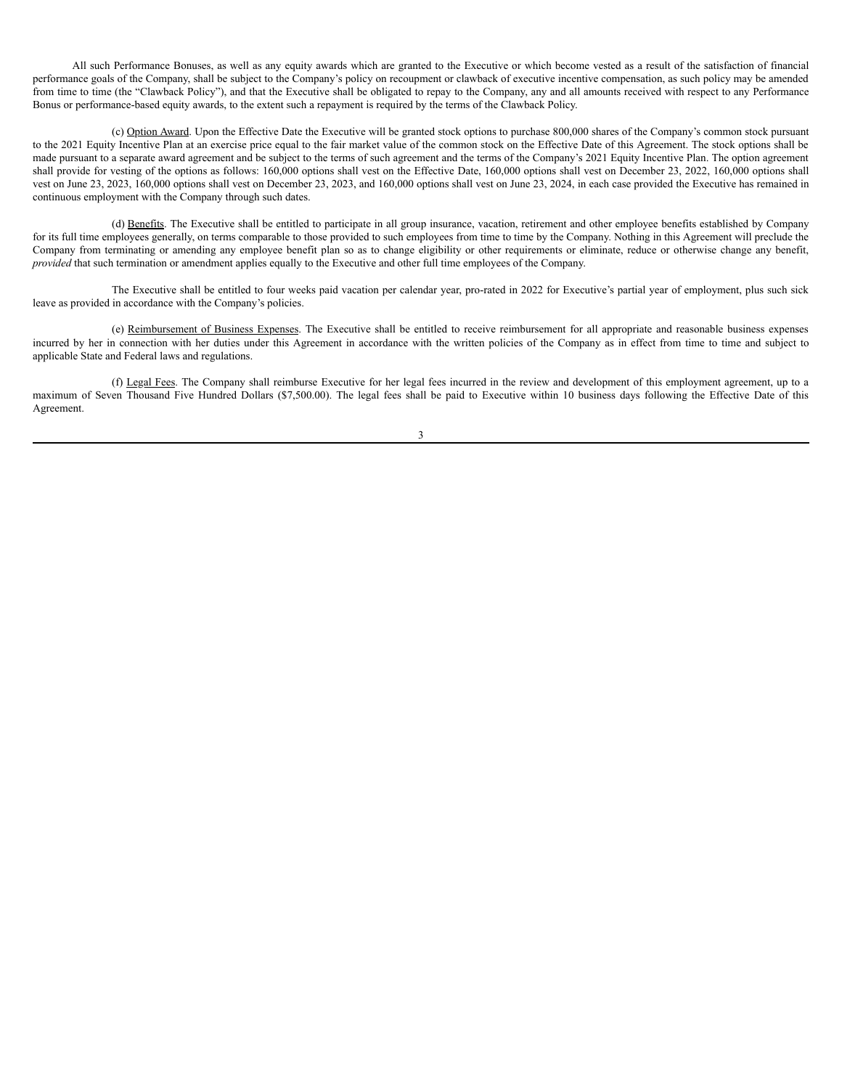All such Performance Bonuses, as well as any equity awards which are granted to the Executive or which become vested as a result of the satisfaction of financial performance goals of the Company, shall be subject to the Company's policy on recoupment or clawback of executive incentive compensation, as such policy may be amended from time to time (the "Clawback Policy"), and that the Executive shall be obligated to repay to the Company, any and all amounts received with respect to any Performance Bonus or performance-based equity awards, to the extent such a repayment is required by the terms of the Clawback Policy.

(c) Option Award. Upon the Effective Date the Executive will be granted stock options to purchase 800,000 shares of the Company's common stock pursuant to the 2021 Equity Incentive Plan at an exercise price equal to the fair market value of the common stock on the Effective Date of this Agreement. The stock options shall be made pursuant to a separate award agreement and be subject to the terms of such agreement and the terms of the Company's 2021 Equity Incentive Plan. The option agreement shall provide for vesting of the options as follows: 160,000 options shall vest on the Effective Date, 160,000 options shall vest on December 23, 2022, 160,000 options shall vest on June 23, 2023, 160,000 options shall vest on December 23, 2023, and 160,000 options shall vest on June 23, 2024, in each case provided the Executive has remained in continuous employment with the Company through such dates.

(d) Benefits. The Executive shall be entitled to participate in all group insurance, vacation, retirement and other employee benefits established by Company for its full time employees generally, on terms comparable to those provided to such employees from time to time by the Company. Nothing in this Agreement will preclude the Company from terminating or amending any employee benefit plan so as to change eligibility or other requirements or eliminate, reduce or otherwise change any benefit, *provided* that such termination or amendment applies equally to the Executive and other full time employees of the Company.

The Executive shall be entitled to four weeks paid vacation per calendar year, pro-rated in 2022 for Executive's partial year of employment, plus such sick leave as provided in accordance with the Company's policies.

(e) Reimbursement of Business Expenses. The Executive shall be entitled to receive reimbursement for all appropriate and reasonable business expenses incurred by her in connection with her duties under this Agreement in accordance with the written policies of the Company as in effect from time to time and subject to applicable State and Federal laws and regulations.

(f) Legal Fees. The Company shall reimburse Executive for her legal fees incurred in the review and development of this employment agreement, up to a maximum of Seven Thousand Five Hundred Dollars (\$7,500.00). The legal fees shall be paid to Executive within 10 business days following the Effective Date of this Agreement.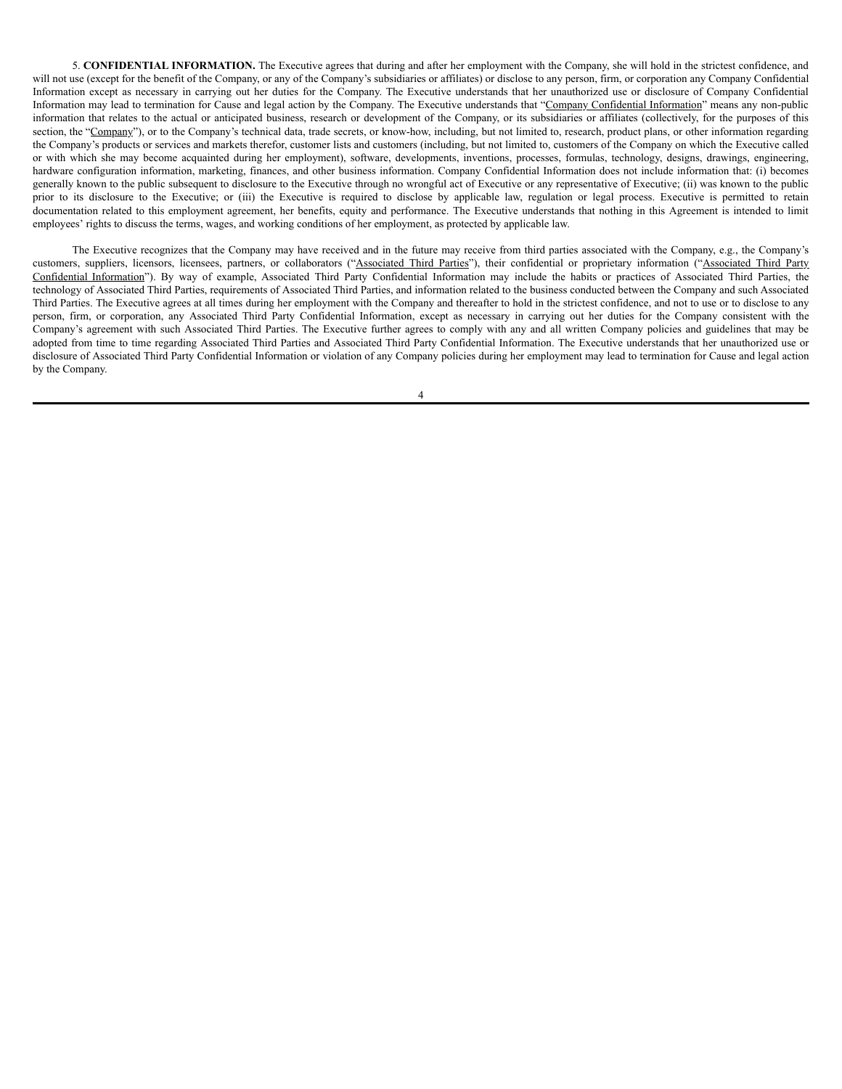5. **CONFIDENTIAL INFORMATION.** The Executive agrees that during and after her employment with the Company, she will hold in the strictest confidence, and will not use (except for the benefit of the Company, or any of the Company's subsidiaries or affiliates) or disclose to any person, firm, or corporation any Company Confidential Information except as necessary in carrying out her duties for the Company. The Executive understands that her unauthorized use or disclosure of Company Confidential Information may lead to termination for Cause and legal action by the Company. The Executive understands that "Company Confidential Information" means any non-public information that relates to the actual or anticipated business, research or development of the Company, or its subsidiaries or affiliates (collectively, for the purposes of this section, the "Company"), or to the Company's technical data, trade secrets, or know-how, including, but not limited to, research, product plans, or other information regarding the Company's products or services and markets therefor, customer lists and customers (including, but not limited to, customers of the Company on which the Executive called or with which she may become acquainted during her employment), software, developments, inventions, processes, formulas, technology, designs, drawings, engineering, hardware configuration information, marketing, finances, and other business information. Company Confidential Information does not include information that: (i) becomes generally known to the public subsequent to disclosure to the Executive through no wrongful act of Executive or any representative of Executive; (ii) was known to the public prior to its disclosure to the Executive; or (iii) the Executive is required to disclose by applicable law, regulation or legal process. Executive is permitted to retain documentation related to this employment agreement, her benefits, equity and performance. The Executive understands that nothing in this Agreement is intended to limit employees' rights to discuss the terms, wages, and working conditions of her employment, as protected by applicable law.

The Executive recognizes that the Company may have received and in the future may receive from third parties associated with the Company, e.g., the Company's customers, suppliers, licensors, licensees, partners, or collaborators ("Associated Third Parties"), their confidential or proprietary information ("Associated Third Party Confidential Information"). By way of example, Associated Third Party Confidential Information may include the habits or practices of Associated Third Parties, the technology of Associated Third Parties, requirements of Associated Third Parties, and information related to the business conducted between the Company and such Associated Third Parties. The Executive agrees at all times during her employment with the Company and thereafter to hold in the strictest confidence, and not to use or to disclose to any person, firm, or corporation, any Associated Third Party Confidential Information, except as necessary in carrying out her duties for the Company consistent with the Company's agreement with such Associated Third Parties. The Executive further agrees to comply with any and all written Company policies and guidelines that may be adopted from time to time regarding Associated Third Parties and Associated Third Party Confidential Information. The Executive understands that her unauthorized use or disclosure of Associated Third Party Confidential Information or violation of any Company policies during her employment may lead to termination for Cause and legal action by the Company.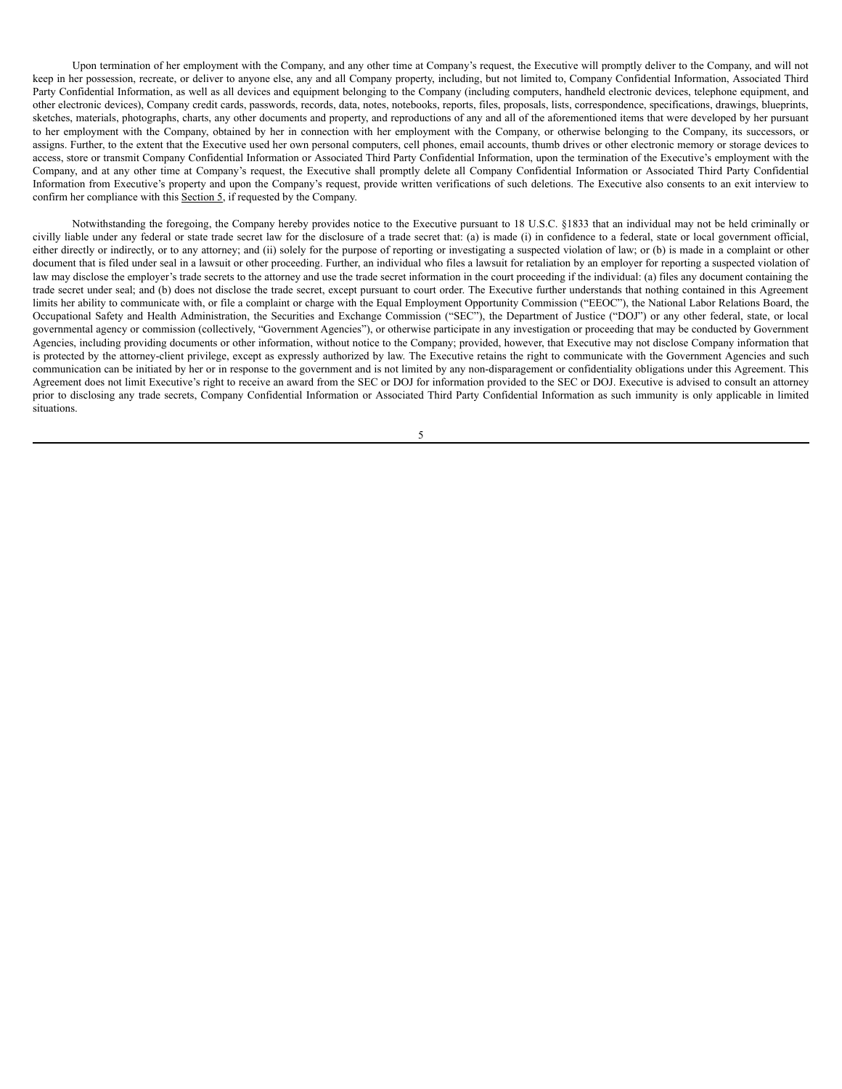Upon termination of her employment with the Company, and any other time at Company's request, the Executive will promptly deliver to the Company, and will not keep in her possession, recreate, or deliver to anyone else, any and all Company property, including, but not limited to, Company Confidential Information, Associated Third Party Confidential Information, as well as all devices and equipment belonging to the Company (including computers, handheld electronic devices, telephone equipment, and other electronic devices), Company credit cards, passwords, records, data, notes, notebooks, reports, files, proposals, lists, correspondence, specifications, drawings, blueprints, sketches, materials, photographs, charts, any other documents and property, and reproductions of any and all of the aforementioned items that were developed by her pursuant to her employment with the Company, obtained by her in connection with her employment with the Company, or otherwise belonging to the Company, its successors, or assigns. Further, to the extent that the Executive used her own personal computers, cell phones, email accounts, thumb drives or other electronic memory or storage devices to access, store or transmit Company Confidential Information or Associated Third Party Confidential Information, upon the termination of the Executive's employment with the Company, and at any other time at Company's request, the Executive shall promptly delete all Company Confidential Information or Associated Third Party Confidential Information from Executive's property and upon the Company's request, provide written verifications of such deletions. The Executive also consents to an exit interview to confirm her compliance with this Section 5, if requested by the Company.

Notwithstanding the foregoing, the Company hereby provides notice to the Executive pursuant to 18 U.S.C. §1833 that an individual may not be held criminally or civilly liable under any federal or state trade secret law for the disclosure of a trade secret that: (a) is made (i) in confidence to a federal, state or local government official, either directly or indirectly, or to any attorney; and (ii) solely for the purpose of reporting or investigating a suspected violation of law; or (b) is made in a complaint or other document that is filed under seal in a lawsuit or other proceeding. Further, an individual who files a lawsuit for retaliation by an employer for reporting a suspected violation of law may disclose the employer's trade secrets to the attorney and use the trade secret information in the court proceeding if the individual: (a) files any document containing the trade secret under seal; and (b) does not disclose the trade secret, except pursuant to court order. The Executive further understands that nothing contained in this Agreement limits her ability to communicate with, or file a complaint or charge with the Equal Employment Opportunity Commission ("EEOC"), the National Labor Relations Board, the Occupational Safety and Health Administration, the Securities and Exchange Commission ("SEC"), the Department of Justice ("DOJ") or any other federal, state, or local governmental agency or commission (collectively, "Government Agencies"), or otherwise participate in any investigation or proceeding that may be conducted by Government Agencies, including providing documents or other information, without notice to the Company; provided, however, that Executive may not disclose Company information that is protected by the attorney-client privilege, except as expressly authorized by law. The Executive retains the right to communicate with the Government Agencies and such communication can be initiated by her or in response to the government and is not limited by any non-disparagement or confidentiality obligations under this Agreement. This Agreement does not limit Executive's right to receive an award from the SEC or DOJ for information provided to the SEC or DOJ. Executive is advised to consult an attorney prior to disclosing any trade secrets, Company Confidential Information or Associated Third Party Confidential Information as such immunity is only applicable in limited situations.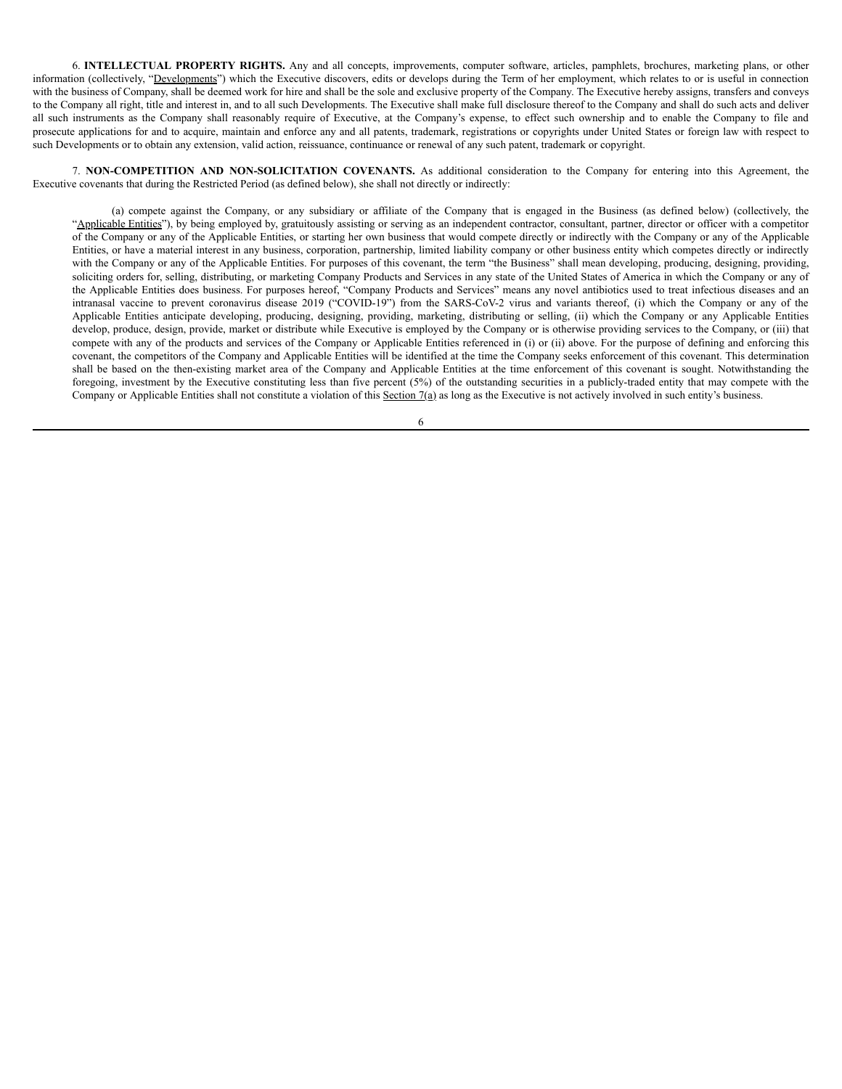6. **INTELLECTUAL PROPERTY RIGHTS.** Any and all concepts, improvements, computer software, articles, pamphlets, brochures, marketing plans, or other information (collectively, "Developments") which the Executive discovers, edits or develops during the Term of her employment, which relates to or is useful in connection with the business of Company, shall be deemed work for hire and shall be the sole and exclusive property of the Company. The Executive hereby assigns, transfers and conveys to the Company all right, title and interest in, and to all such Developments. The Executive shall make full disclosure thereof to the Company and shall do such acts and deliver all such instruments as the Company shall reasonably require of Executive, at the Company's expense, to effect such ownership and to enable the Company to file and prosecute applications for and to acquire, maintain and enforce any and all patents, trademark, registrations or copyrights under United States or foreign law with respect to such Developments or to obtain any extension, valid action, reissuance, continuance or renewal of any such patent, trademark or copyright.

7. **NON-COMPETITION AND NON-SOLICITATION COVENANTS.** As additional consideration to the Company for entering into this Agreement, the Executive covenants that during the Restricted Period (as defined below), she shall not directly or indirectly:

(a) compete against the Company, or any subsidiary or affiliate of the Company that is engaged in the Business (as defined below) (collectively, the "Applicable Entities"), by being employed by, gratuitously assisting or serving as an independent contractor, consultant, partner, director or officer with a competitor of the Company or any of the Applicable Entities, or starting her own business that would compete directly or indirectly with the Company or any of the Applicable Entities, or have a material interest in any business, corporation, partnership, limited liability company or other business entity which competes directly or indirectly with the Company or any of the Applicable Entities. For purposes of this covenant, the term "the Business" shall mean developing, producing, designing, providing, soliciting orders for, selling, distributing, or marketing Company Products and Services in any state of the United States of America in which the Company or any of the Applicable Entities does business. For purposes hereof, "Company Products and Services" means any novel antibiotics used to treat infectious diseases and an intranasal vaccine to prevent coronavirus disease 2019 ("COVID-19") from the SARS-CoV-2 virus and variants thereof, (i) which the Company or any of the Applicable Entities anticipate developing, producing, designing, providing, marketing, distributing or selling, (ii) which the Company or any Applicable Entities develop, produce, design, provide, market or distribute while Executive is employed by the Company or is otherwise providing services to the Company, or (iii) that compete with any of the products and services of the Company or Applicable Entities referenced in (i) or (ii) above. For the purpose of defining and enforcing this covenant, the competitors of the Company and Applicable Entities will be identified at the time the Company seeks enforcement of this covenant. This determination shall be based on the then-existing market area of the Company and Applicable Entities at the time enforcement of this covenant is sought. Notwithstanding the foregoing, investment by the Executive constituting less than five percent (5%) of the outstanding securities in a publicly-traded entity that may compete with the Company or Applicable Entities shall not constitute a violation of this Section 7(a) as long as the Executive is not actively involved in such entity's business.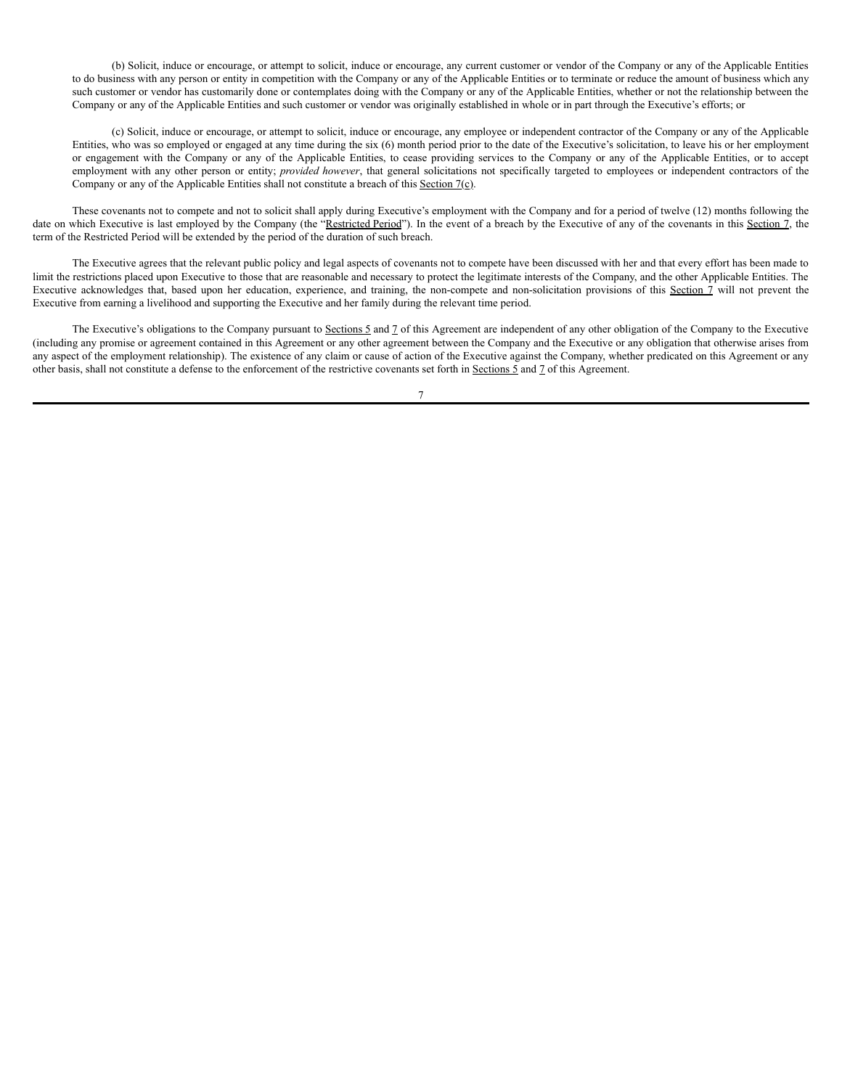(b) Solicit, induce or encourage, or attempt to solicit, induce or encourage, any current customer or vendor of the Company or any of the Applicable Entities to do business with any person or entity in competition with the Company or any of the Applicable Entities or to terminate or reduce the amount of business which any such customer or vendor has customarily done or contemplates doing with the Company or any of the Applicable Entities, whether or not the relationship between the Company or any of the Applicable Entities and such customer or vendor was originally established in whole or in part through the Executive's efforts; or

(c) Solicit, induce or encourage, or attempt to solicit, induce or encourage, any employee or independent contractor of the Company or any of the Applicable Entities, who was so employed or engaged at any time during the six (6) month period prior to the date of the Executive's solicitation, to leave his or her employment or engagement with the Company or any of the Applicable Entities, to cease providing services to the Company or any of the Applicable Entities, or to accept employment with any other person or entity; *provided however*, that general solicitations not specifically targeted to employees or independent contractors of the Company or any of the Applicable Entities shall not constitute a breach of this Section 7(c).

These covenants not to compete and not to solicit shall apply during Executive's employment with the Company and for a period of twelve (12) months following the date on which Executive is last employed by the Company (the "Restricted Period"). In the event of a breach by the Executive of any of the covenants in this Section 7, the term of the Restricted Period will be extended by the period of the duration of such breach.

The Executive agrees that the relevant public policy and legal aspects of covenants not to compete have been discussed with her and that every effort has been made to limit the restrictions placed upon Executive to those that are reasonable and necessary to protect the legitimate interests of the Company, and the other Applicable Entities. The Executive acknowledges that, based upon her education, experience, and training, the non-compete and non-solicitation provisions of this Section 7 will not prevent the Executive from earning a livelihood and supporting the Executive and her family during the relevant time period.

The Executive's obligations to the Company pursuant to Sections 5 and 7 of this Agreement are independent of any other obligation of the Company to the Executive (including any promise or agreement contained in this Agreement or any other agreement between the Company and the Executive or any obligation that otherwise arises from any aspect of the employment relationship). The existence of any claim or cause of action of the Executive against the Company, whether predicated on this Agreement or any other basis, shall not constitute a defense to the enforcement of the restrictive covenants set forth in Sections 5 and 7 of this Agreement.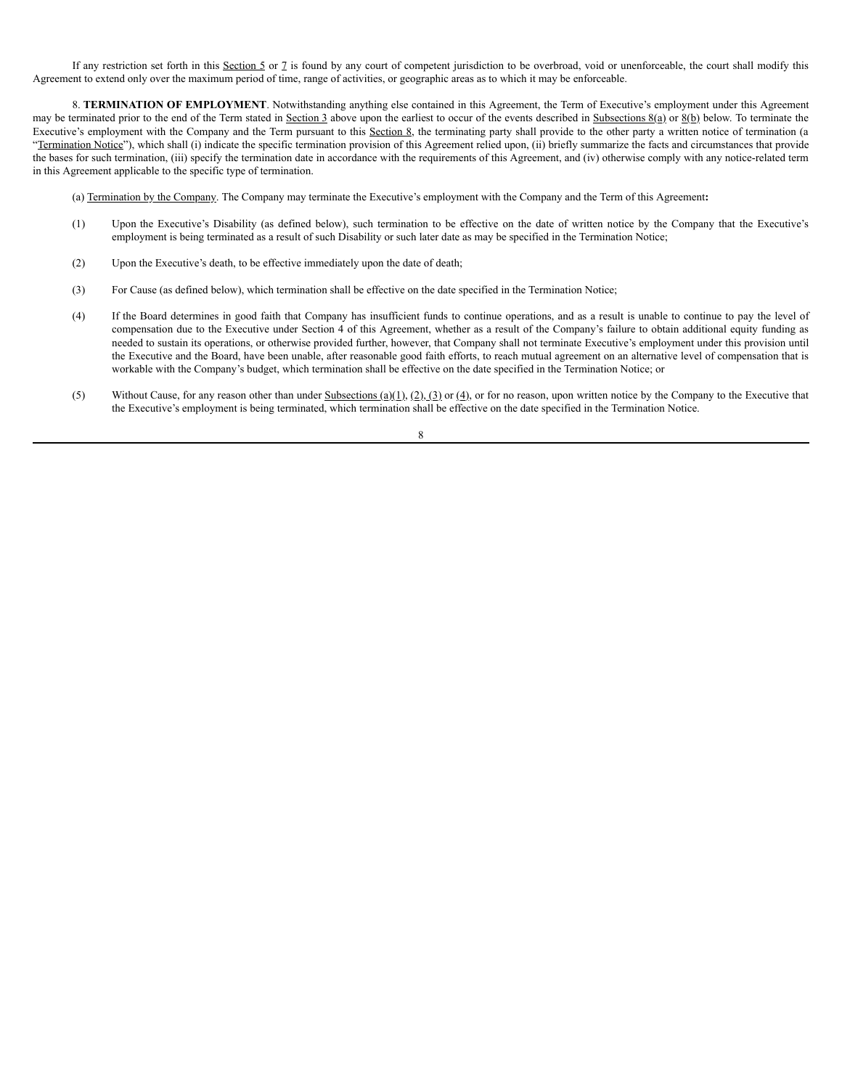If any restriction set forth in this Section 5 or 7 is found by any court of competent jurisdiction to be overbroad, void or unenforceable, the court shall modify this Agreement to extend only over the maximum period of time, range of activities, or geographic areas as to which it may be enforceable.

8. **TERMINATION OF EMPLOYMENT**. Notwithstanding anything else contained in this Agreement, the Term of Executive's employment under this Agreement may be terminated prior to the end of the Term stated in Section 3 above upon the earliest to occur of the events described in Subsections  $8(a)$  or  $8(b)$  below. To terminate the Executive's employment with the Company and the Term pursuant to this Section 8, the terminating party shall provide to the other party a written notice of termination (a "Termination Notice"), which shall (i) indicate the specific termination provision of this Agreement relied upon, (ii) briefly summarize the facts and circumstances that provide the bases for such termination, (iii) specify the termination date in accordance with the requirements of this Agreement, and (iv) otherwise comply with any notice-related term in this Agreement applicable to the specific type of termination.

(a) Termination by the Company. The Company may terminate the Executive's employment with the Company and the Term of this Agreement**:**

- (1) Upon the Executive's Disability (as defined below), such termination to be effective on the date of written notice by the Company that the Executive's employment is being terminated as a result of such Disability or such later date as may be specified in the Termination Notice;
- (2) Upon the Executive's death, to be effective immediately upon the date of death;
- (3) For Cause (as defined below), which termination shall be effective on the date specified in the Termination Notice;
- (4) If the Board determines in good faith that Company has insufficient funds to continue operations, and as a result is unable to continue to pay the level of compensation due to the Executive under Section 4 of this Agreement, whether as a result of the Company's failure to obtain additional equity funding as needed to sustain its operations, or otherwise provided further, however, that Company shall not terminate Executive's employment under this provision until the Executive and the Board, have been unable, after reasonable good faith efforts, to reach mutual agreement on an alternative level of compensation that is workable with the Company's budget, which termination shall be effective on the date specified in the Termination Notice; or
- (5) Without Cause, for any reason other than under Subsections (a)(1), (2), (3) or (4), or for no reason, upon written notice by the Company to the Executive that the Executive's employment is being terminated, which termination shall be effective on the date specified in the Termination Notice.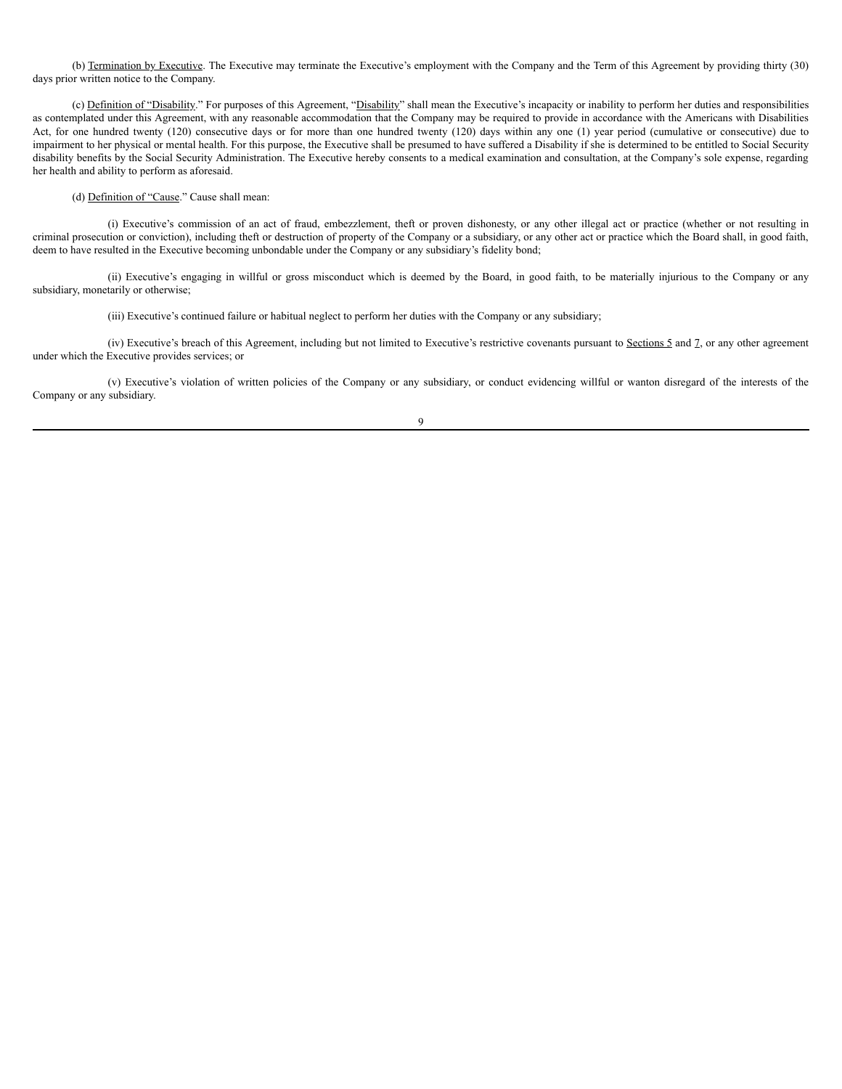(b) Termination by Executive. The Executive may terminate the Executive's employment with the Company and the Term of this Agreement by providing thirty (30) days prior written notice to the Company.

(c) Definition of "Disability." For purposes of this Agreement, "Disability" shall mean the Executive's incapacity or inability to perform her duties and responsibilities as contemplated under this Agreement, with any reasonable accommodation that the Company may be required to provide in accordance with the Americans with Disabilities Act, for one hundred twenty (120) consecutive days or for more than one hundred twenty (120) days within any one (1) year period (cumulative or consecutive) due to impairment to her physical or mental health. For this purpose, the Executive shall be presumed to have suffered a Disability if she is determined to be entitled to Social Security disability benefits by the Social Security Administration. The Executive hereby consents to a medical examination and consultation, at the Company's sole expense, regarding her health and ability to perform as aforesaid.

(d) Definition of "Cause." Cause shall mean:

(i) Executive's commission of an act of fraud, embezzlement, theft or proven dishonesty, or any other illegal act or practice (whether or not resulting in criminal prosecution or conviction), including theft or destruction of property of the Company or a subsidiary, or any other act or practice which the Board shall, in good faith, deem to have resulted in the Executive becoming unbondable under the Company or any subsidiary's fidelity bond;

(ii) Executive's engaging in willful or gross misconduct which is deemed by the Board, in good faith, to be materially injurious to the Company or any subsidiary, monetarily or otherwise;

(iii) Executive's continued failure or habitual neglect to perform her duties with the Company or any subsidiary;

(iv) Executive's breach of this Agreement, including but not limited to Executive's restrictive covenants pursuant to Sections 5 and 7, or any other agreement under which the Executive provides services; or

(v) Executive's violation of written policies of the Company or any subsidiary, or conduct evidencing willful or wanton disregard of the interests of the Company or any subsidiary.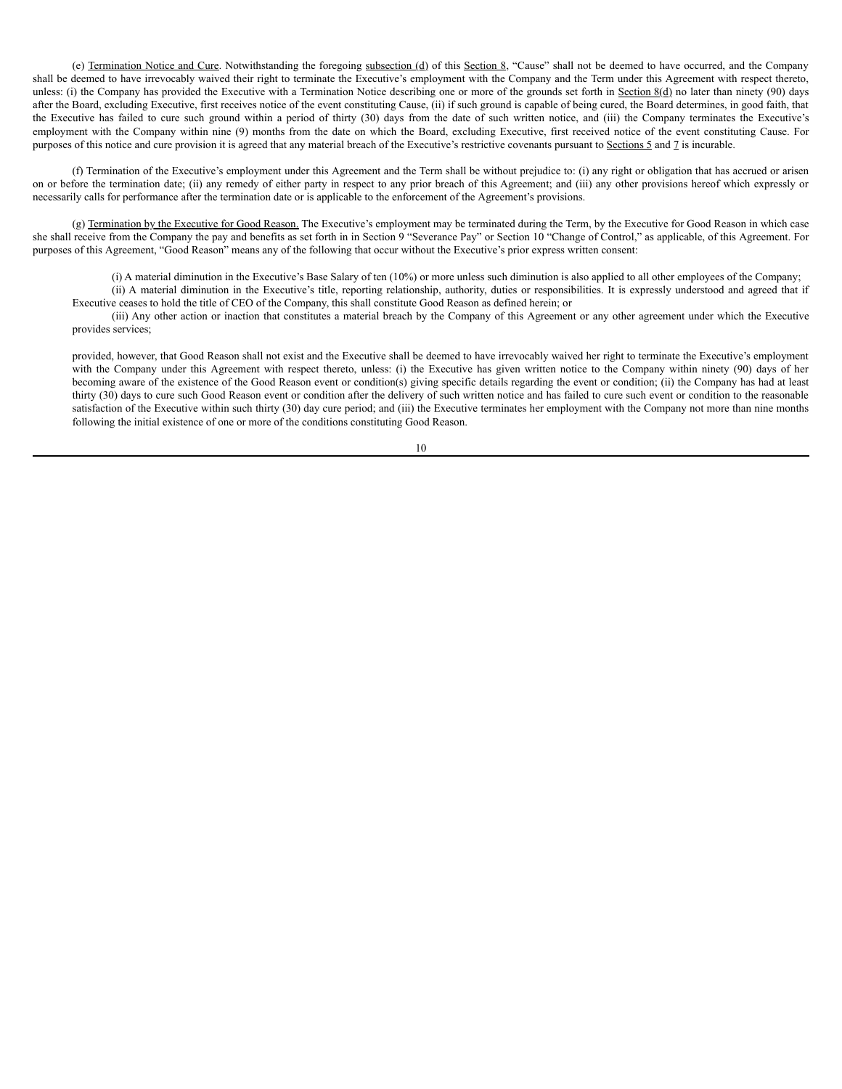(e) Termination Notice and Cure. Notwithstanding the foregoing subsection (d) of this Section 8, "Cause" shall not be deemed to have occurred, and the Company shall be deemed to have irrevocably waived their right to terminate the Executive's employment with the Company and the Term under this Agreement with respect thereto, unless: (i) the Company has provided the Executive with a Termination Notice describing one or more of the grounds set forth in Section  $8(d)$  no later than ninety (90) days after the Board, excluding Executive, first receives notice of the event constituting Cause, (ii) if such ground is capable of being cured, the Board determines, in good faith, that the Executive has failed to cure such ground within a period of thirty (30) days from the date of such written notice, and (iii) the Company terminates the Executive's employment with the Company within nine (9) months from the date on which the Board, excluding Executive, first received notice of the event constituting Cause. For purposes of this notice and cure provision it is agreed that any material breach of the Executive's restrictive covenants pursuant to Sections 5 and 7 is incurable.

(f) Termination of the Executive's employment under this Agreement and the Term shall be without prejudice to: (i) any right or obligation that has accrued or arisen on or before the termination date; (ii) any remedy of either party in respect to any prior breach of this Agreement; and (iii) any other provisions hereof which expressly or necessarily calls for performance after the termination date or is applicable to the enforcement of the Agreement's provisions.

(g) Termination by the Executive for Good Reason. The Executive's employment may be terminated during the Term, by the Executive for Good Reason in which case she shall receive from the Company the pay and benefits as set forth in in Section 9 "Severance Pay" or Section 10 "Change of Control," as applicable, of this Agreement. For purposes of this Agreement, "Good Reason" means any of the following that occur without the Executive's prior express written consent:

 $(i)$  A material diminution in the Executive's Base Salary of ten  $(10%)$  or more unless such diminution is also applied to all other employees of the Company;

(ii) A material diminution in the Executive's title, reporting relationship, authority, duties or responsibilities. It is expressly understood and agreed that if Executive ceases to hold the title of CEO of the Company, this shall constitute Good Reason as defined herein; or

(iii) Any other action or inaction that constitutes a material breach by the Company of this Agreement or any other agreement under which the Executive provides services;

provided, however, that Good Reason shall not exist and the Executive shall be deemed to have irrevocably waived her right to terminate the Executive's employment with the Company under this Agreement with respect thereto, unless: (i) the Executive has given written notice to the Company within ninety (90) days of her becoming aware of the existence of the Good Reason event or condition(s) giving specific details regarding the event or condition; (ii) the Company has had at least thirty (30) days to cure such Good Reason event or condition after the delivery of such written notice and has failed to cure such event or condition to the reasonable satisfaction of the Executive within such thirty (30) day cure period; and (iii) the Executive terminates her employment with the Company not more than nine months following the initial existence of one or more of the conditions constituting Good Reason.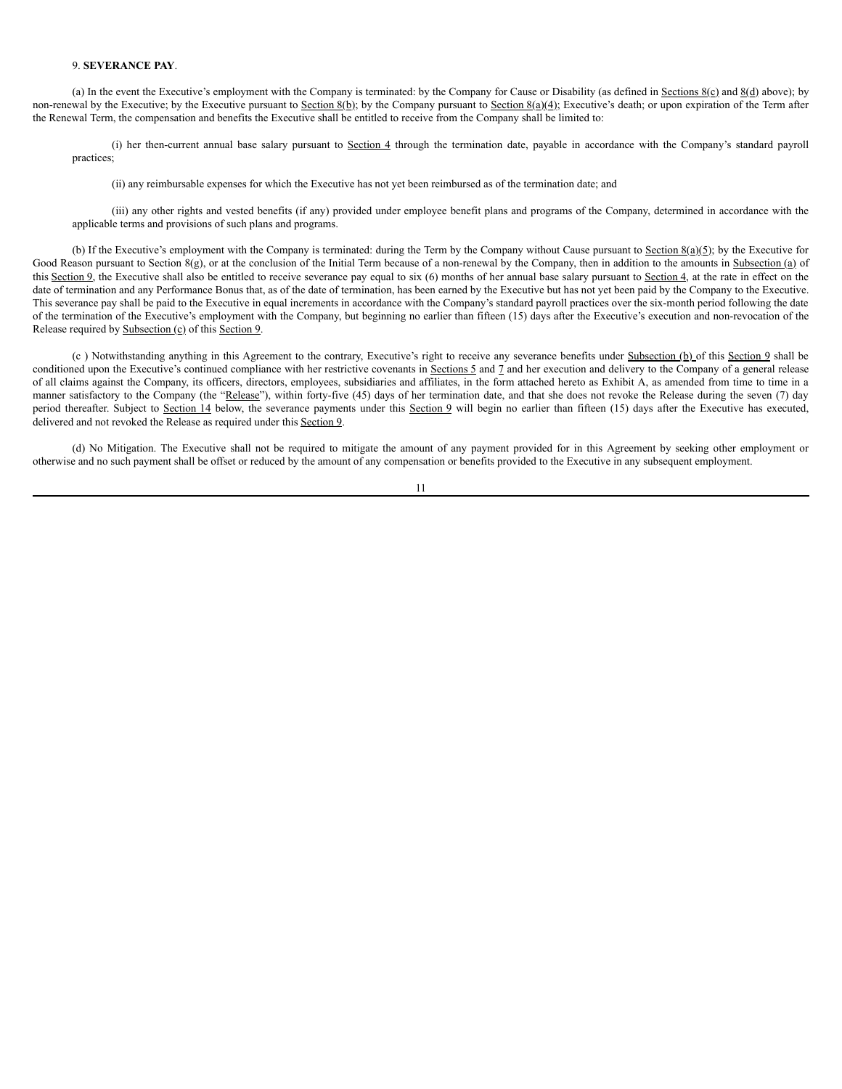#### 9. **SEVERANCE PAY**.

(a) In the event the Executive's employment with the Company is terminated: by the Company for Cause or Disability (as defined in  $Sections 8(c)$  and  $8(d)$  above); by non-renewal by the Executive; by the Executive pursuant to Section 8(b); by the Company pursuant to Section 8(a)(4); Executive's death; or upon expiration of the Term after the Renewal Term, the compensation and benefits the Executive shall be entitled to receive from the Company shall be limited to:

(i) her then-current annual base salary pursuant to Section 4 through the termination date, payable in accordance with the Company's standard payroll practices;

(ii) any reimbursable expenses for which the Executive has not yet been reimbursed as of the termination date; and

(iii) any other rights and vested benefits (if any) provided under employee benefit plans and programs of the Company, determined in accordance with the applicable terms and provisions of such plans and programs.

(b) If the Executive's employment with the Company is terminated: during the Term by the Company without Cause pursuant to Section  $8(a)(5)$ ; by the Executive for Good Reason pursuant to Section 8(g), or at the conclusion of the Initial Term because of a non-renewal by the Company, then in addition to the amounts in Subsection (a) of this Section 9, the Executive shall also be entitled to receive severance pay equal to six (6) months of her annual base salary pursuant to Section 4, at the rate in effect on the date of termination and any Performance Bonus that, as of the date of termination, has been earned by the Executive but has not yet been paid by the Company to the Executive. This severance pay shall be paid to the Executive in equal increments in accordance with the Company's standard payroll practices over the six-month period following the date of the termination of the Executive's employment with the Company, but beginning no earlier than fifteen (15) days after the Executive's execution and non-revocation of the Release required by Subsection (c) of this Section 9.

(c) Notwithstanding anything in this Agreement to the contrary, Executive's right to receive any severance benefits under Subsection (b) of this Section 9 shall be conditioned upon the Executive's continued compliance with her restrictive covenants in Sections  $5$  and  $7$  and her execution and delivery to the Company of a general release of all claims against the Company, its officers, directors, employees, subsidiaries and affiliates, in the form attached hereto as Exhibit A, as amended from time to time in a manner satisfactory to the Company (the "Release"), within forty-five (45) days of her termination date, and that she does not revoke the Release during the seven (7) day period thereafter. Subject to Section 14 below, the severance payments under this Section 9 will begin no earlier than fifteen (15) days after the Executive has executed, delivered and not revoked the Release as required under this Section 9.

(d) No Mitigation. The Executive shall not be required to mitigate the amount of any payment provided for in this Agreement by seeking other employment or otherwise and no such payment shall be offset or reduced by the amount of any compensation or benefits provided to the Executive in any subsequent employment.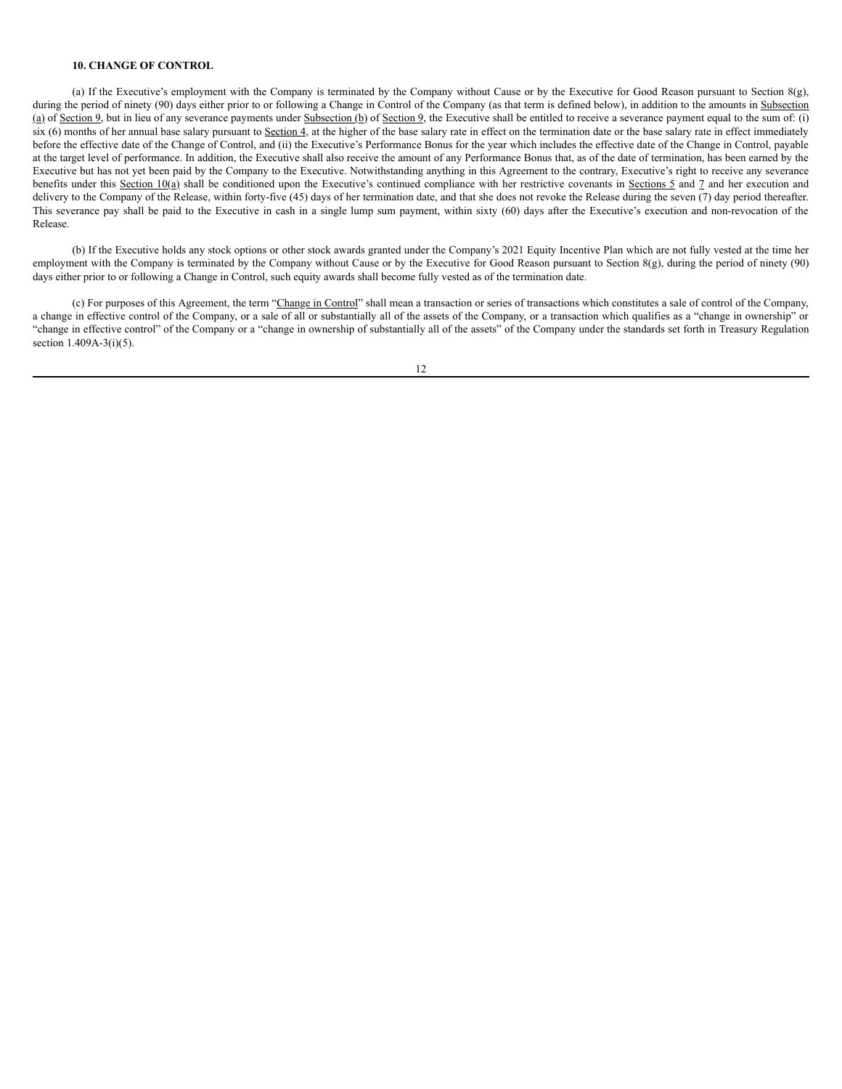#### **10. CHANGE OF CONTROL**

(a) If the Executive's employment with the Company is terminated by the Company without Cause or by the Executive for Good Reason pursuant to Section 8(g), during the period of ninety (90) days either prior to or following a Change in Control of the Company (as that term is defined below), in addition to the amounts in Subsection (a) of Section 9, but in lieu of any severance payments under Subsection (b) of Section 9, the Executive shall be entitled to receive a severance payment equal to the sum of: (i) six (6) months of her annual base salary pursuant to Section 4, at the higher of the base salary rate in effect on the termination date or the base salary rate in effect immediately before the effective date of the Change of Control, and (ii) the Executive's Performance Bonus for the year which includes the effective date of the Change in Control, payable at the target level of performance. In addition, the Executive shall also receive the amount of any Performance Bonus that, as of the date of termination, has been earned by the Executive but has not yet been paid by the Company to the Executive. Notwithstanding anything in this Agreement to the contrary, Executive's right to receive any severance benefits under this Section 10(a) shall be conditioned upon the Executive's continued compliance with her restrictive covenants in Sections 5 and 7 and her execution and delivery to the Company of the Release, within forty-five (45) days of her termination date, and that she does not revoke the Release during the seven (7) day period thereafter. This severance pay shall be paid to the Executive in cash in a single lump sum payment, within sixty (60) days after the Executive's execution and non-revocation of the Release.

(b) If the Executive holds any stock options or other stock awards granted under the Company's 2021 Equity Incentive Plan which are not fully vested at the time her employment with the Company is terminated by the Company without Cause or by the Executive for Good Reason pursuant to Section 8(g), during the period of ninety (90) days either prior to or following a Change in Control, such equity awards shall become fully vested as of the termination date.

(c) For purposes of this Agreement, the term "Change in Control" shall mean a transaction or series of transactions which constitutes a sale of control of the Company, a change in effective control of the Company, or a sale of all or substantially all of the assets of the Company, or a transaction which qualifies as a "change in ownership" or "change in effective control" of the Company or a "change in ownership of substantially all of the assets" of the Company under the standards set forth in Treasury Regulation section  $1.409A-3(i)(5)$ .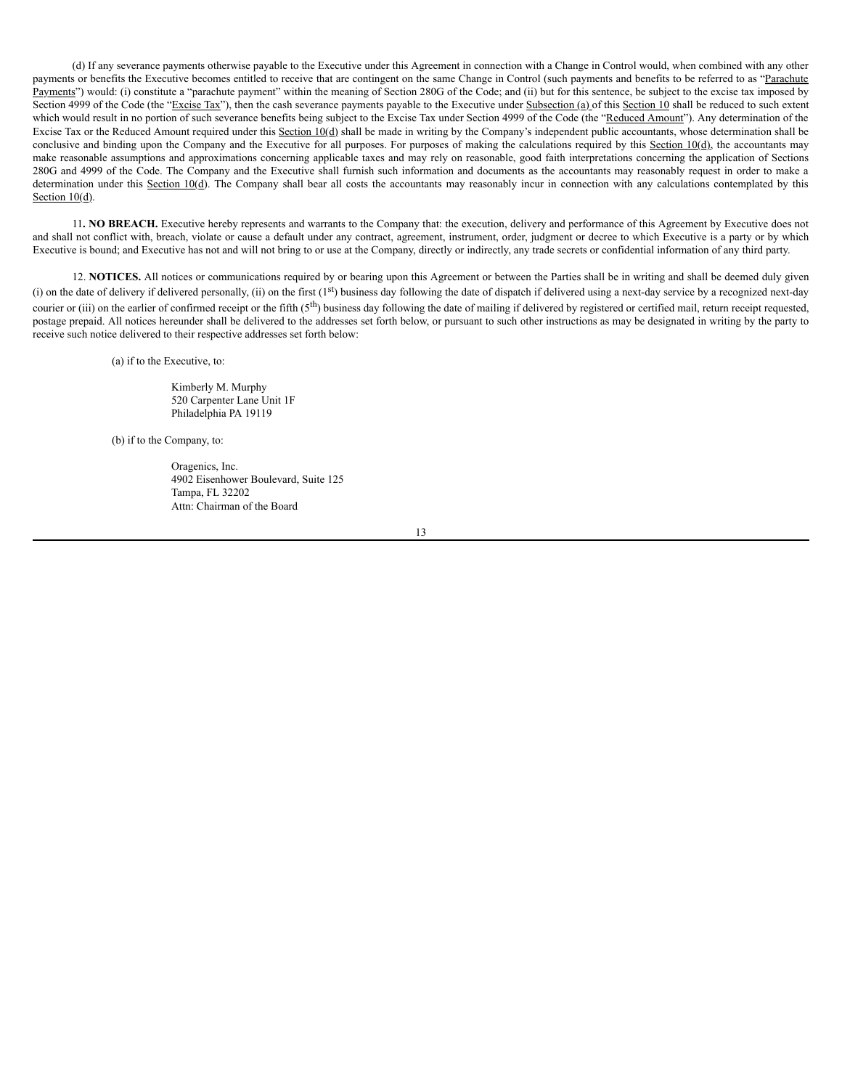(d) If any severance payments otherwise payable to the Executive under this Agreement in connection with a Change in Control would, when combined with any other payments or benefits the Executive becomes entitled to receive that are contingent on the same Change in Control (such payments and benefits to be referred to as "Parachute") Payments") would: (i) constitute a "parachute payment" within the meaning of Section 280G of the Code; and (ii) but for this sentence, be subject to the excise tax imposed by Section 4999 of the Code (the "Excise Tax"), then the cash severance payments payable to the Executive under Subsection (a) of this Section 10 shall be reduced to such extent which would result in no portion of such severance benefits being subject to the Excise Tax under Section 4999 of the Code (the "Reduced Amount"). Any determination of the Excise Tax or the Reduced Amount required under this Section  $10(d)$  shall be made in writing by the Company's independent public accountants, whose determination shall be conclusive and binding upon the Company and the Executive for all purposes. For purposes of making the calculations required by this Section 10(d), the accountants may make reasonable assumptions and approximations concerning applicable taxes and may rely on reasonable, good faith interpretations concerning the application of Sections 280G and 4999 of the Code. The Company and the Executive shall furnish such information and documents as the accountants may reasonably request in order to make a determination under this Section 10(d). The Company shall bear all costs the accountants may reasonably incur in connection with any calculations contemplated by this Section  $10(d)$ .

11**. NO BREACH.** Executive hereby represents and warrants to the Company that: the execution, delivery and performance of this Agreement by Executive does not and shall not conflict with, breach, violate or cause a default under any contract, agreement, instrument, order, judgment or decree to which Executive is a party or by which Executive is bound; and Executive has not and will not bring to or use at the Company, directly or indirectly, any trade secrets or confidential information of any third party.

12. **NOTICES.** All notices or communications required by or bearing upon this Agreement or between the Parties shall be in writing and shall be deemed duly given (i) on the date of delivery if delivered personally, (ii) on the first  $(1<sup>st</sup>)$  business day following the date of dispatch if delivered using a next-day service by a recognized next-day courier or (iii) on the earlier of confirmed receipt or the fifth ( $5<sup>th</sup>$ ) business day following the date of mailing if delivered by registered or certified mail, return receipt requested, postage prepaid. All notices hereunder shall be delivered to the addresses set forth below, or pursuant to such other instructions as may be designated in writing by the party to receive such notice delivered to their respective addresses set forth below:

(a) if to the Executive, to:

Kimberly M. Murphy 520 Carpenter Lane Unit 1F Philadelphia PA 19119

(b) if to the Company, to:

Oragenics, Inc. 4902 Eisenhower Boulevard, Suite 125 Tampa, FL 32202 Attn: Chairman of the Board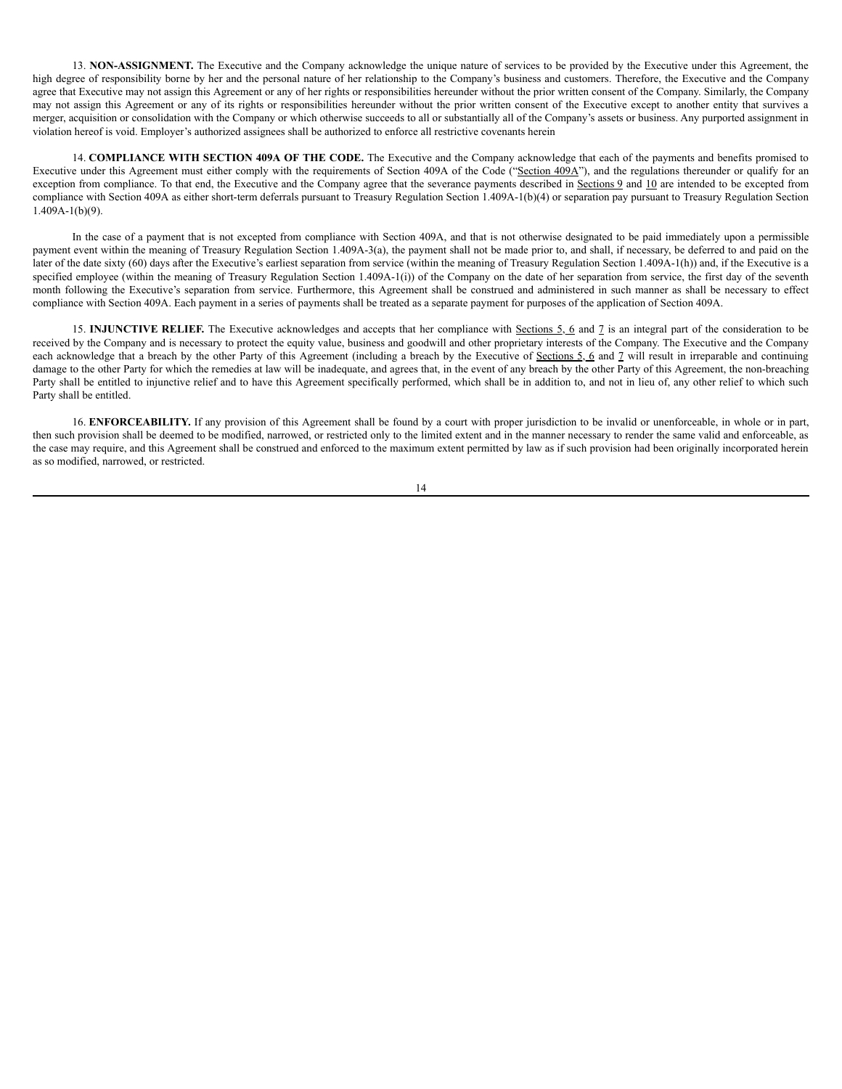13. **NON-ASSIGNMENT.** The Executive and the Company acknowledge the unique nature of services to be provided by the Executive under this Agreement, the high degree of responsibility borne by her and the personal nature of her relationship to the Company's business and customers. Therefore, the Executive and the Company agree that Executive may not assign this Agreement or any of her rights or responsibilities hereunder without the prior written consent of the Company. Similarly, the Company may not assign this Agreement or any of its rights or responsibilities hereunder without the prior written consent of the Executive except to another entity that survives a merger, acquisition or consolidation with the Company or which otherwise succeeds to all or substantially all of the Company's assets or business. Any purported assignment in violation hereof is void. Employer's authorized assignees shall be authorized to enforce all restrictive covenants herein

14. **COMPLIANCE WITH SECTION 409A OF THE CODE.** The Executive and the Company acknowledge that each of the payments and benefits promised to Executive under this Agreement must either comply with the requirements of Section 409A of the Code ("Section 409A"), and the regulations thereunder or qualify for an exception from compliance. To that end, the Executive and the Company agree that the severance payments described in Sections 9 and 10 are intended to be excepted from compliance with Section 409A as either short-term deferrals pursuant to Treasury Regulation Section 1.409A-1(b)(4) or separation pay pursuant to Treasury Regulation Section 1.409A-1(b)(9).

In the case of a payment that is not excepted from compliance with Section 409A, and that is not otherwise designated to be paid immediately upon a permissible payment event within the meaning of Treasury Regulation Section 1.409A-3(a), the payment shall not be made prior to, and shall, if necessary, be deferred to and paid on the later of the date sixty (60) days after the Executive's earliest separation from service (within the meaning of Treasury Regulation Section 1.409A-1(h)) and, if the Executive is a specified employee (within the meaning of Treasury Regulation Section 1.409A-1(i)) of the Company on the date of her separation from service, the first day of the seventh month following the Executive's separation from service. Furthermore, this Agreement shall be construed and administered in such manner as shall be necessary to effect compliance with Section 409A. Each payment in a series of payments shall be treated as a separate payment for purposes of the application of Section 409A.

15. **INJUNCTIVE RELIEF.** The Executive acknowledges and accepts that her compliance with Sections 5, 6 and 7 is an integral part of the consideration to be received by the Company and is necessary to protect the equity value, business and goodwill and other proprietary interests of the Company. The Executive and the Company each acknowledge that a breach by the other Party of this Agreement (including a breach by the Executive of Sections 5, 6 and 7 will result in irreparable and continuing damage to the other Party for which the remedies at law will be inadequate, and agrees that, in the event of any breach by the other Party of this Agreement, the non-breaching Party shall be entitled to injunctive relief and to have this Agreement specifically performed, which shall be in addition to, and not in lieu of, any other relief to which such Party shall be entitled.

16. **ENFORCEABILITY.** If any provision of this Agreement shall be found by a court with proper jurisdiction to be invalid or unenforceable, in whole or in part, then such provision shall be deemed to be modified, narrowed, or restricted only to the limited extent and in the manner necessary to render the same valid and enforceable, as the case may require, and this Agreement shall be construed and enforced to the maximum extent permitted by law as if such provision had been originally incorporated herein as so modified, narrowed, or restricted.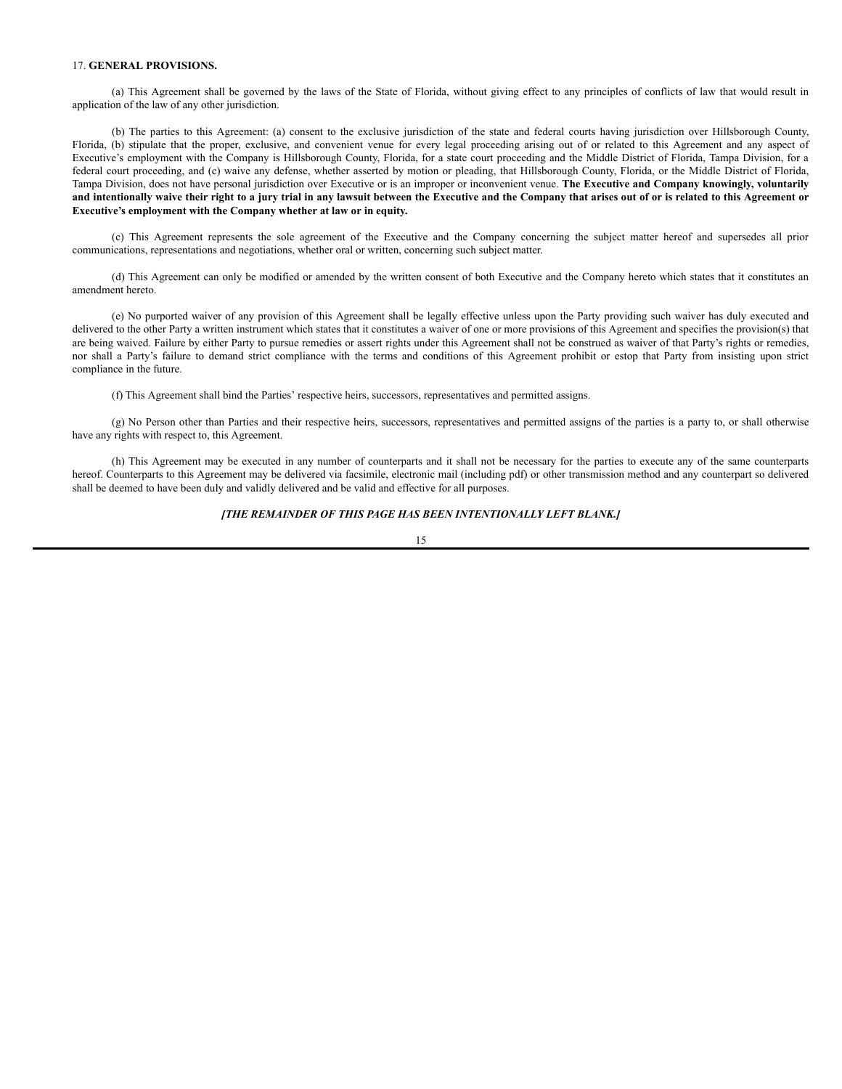#### 17. **GENERAL PROVISIONS.**

(a) This Agreement shall be governed by the laws of the State of Florida, without giving effect to any principles of conflicts of law that would result in application of the law of any other jurisdiction.

(b) The parties to this Agreement: (a) consent to the exclusive jurisdiction of the state and federal courts having jurisdiction over Hillsborough County, Florida, (b) stipulate that the proper, exclusive, and convenient venue for every legal proceeding arising out of or related to this Agreement and any aspect of Executive's employment with the Company is Hillsborough County, Florida, for a state court proceeding and the Middle District of Florida, Tampa Division, for a federal court proceeding, and (c) waive any defense, whether asserted by motion or pleading, that Hillsborough County, Florida, or the Middle District of Florida, Tampa Division, does not have personal jurisdiction over Executive or is an improper or inconvenient venue. **The Executive and Company knowingly, voluntarily** and intentionally waive their right to a jury trial in any lawsuit between the Executive and the Company that arises out of or is related to this Agreement or **Executive's employment with the Company whether at law or in equity.**

(c) This Agreement represents the sole agreement of the Executive and the Company concerning the subject matter hereof and supersedes all prior communications, representations and negotiations, whether oral or written, concerning such subject matter.

(d) This Agreement can only be modified or amended by the written consent of both Executive and the Company hereto which states that it constitutes an amendment hereto.

(e) No purported waiver of any provision of this Agreement shall be legally effective unless upon the Party providing such waiver has duly executed and delivered to the other Party a written instrument which states that it constitutes a waiver of one or more provisions of this Agreement and specifies the provision(s) that are being waived. Failure by either Party to pursue remedies or assert rights under this Agreement shall not be construed as waiver of that Party's rights or remedies, nor shall a Party's failure to demand strict compliance with the terms and conditions of this Agreement prohibit or estop that Party from insisting upon strict compliance in the future.

(f) This Agreement shall bind the Parties' respective heirs, successors, representatives and permitted assigns.

(g) No Person other than Parties and their respective heirs, successors, representatives and permitted assigns of the parties is a party to, or shall otherwise have any rights with respect to, this Agreement.

(h) This Agreement may be executed in any number of counterparts and it shall not be necessary for the parties to execute any of the same counterparts hereof. Counterparts to this Agreement may be delivered via facsimile, electronic mail (including pdf) or other transmission method and any counterpart so delivered shall be deemed to have been duly and validly delivered and be valid and effective for all purposes.

### *[THE REMAINDER OF THIS PAGE HAS BEEN INTENTIONALLY LEFT BLANK.]*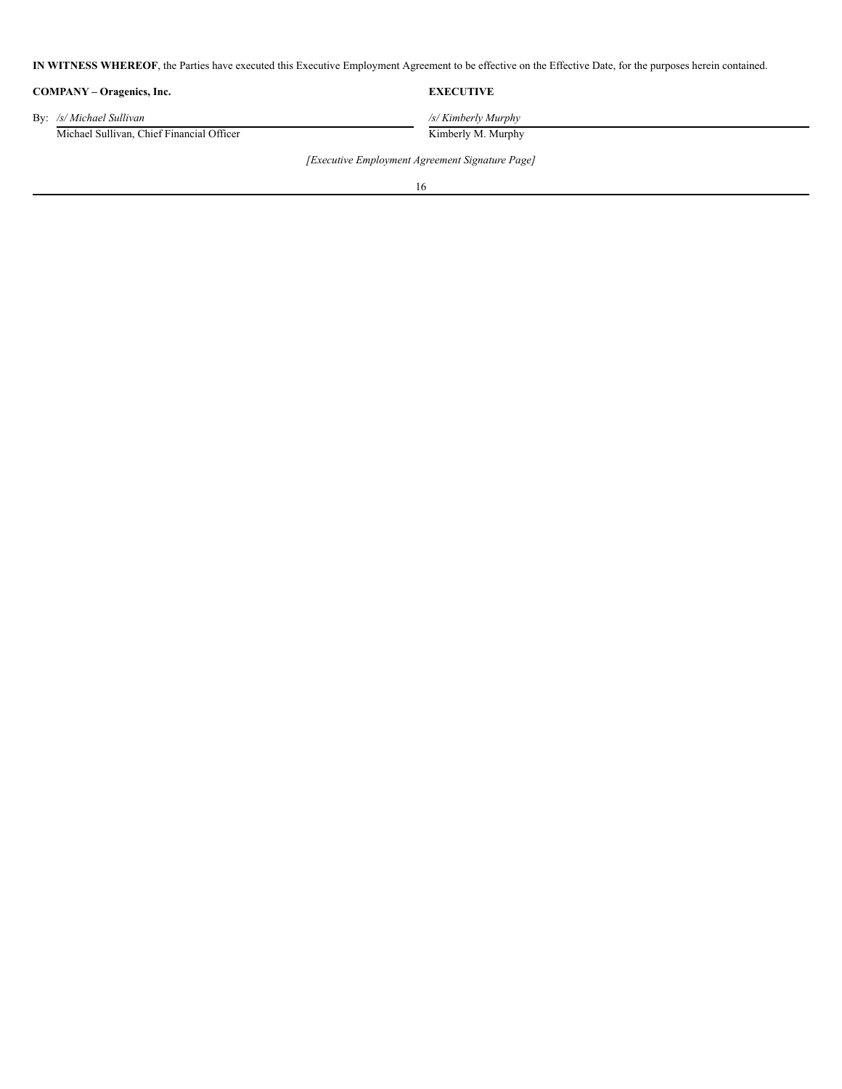**IN WITNESS WHEREOF**, the Parties have executed this Executive Employment Agreement to be effective on the Effective Date, for the purposes herein contained.

| COMPANY – Oragenics, Inc.                 | <b>EXECUTIVE</b>    |
|-------------------------------------------|---------------------|
| By: /s/ Michael Sullivan                  | /s/ Kimberly Murphy |
| Michael Sullivan, Chief Financial Officer | Kimberly M. Murphy  |

*[Executive Employment Agreement Signature Page]*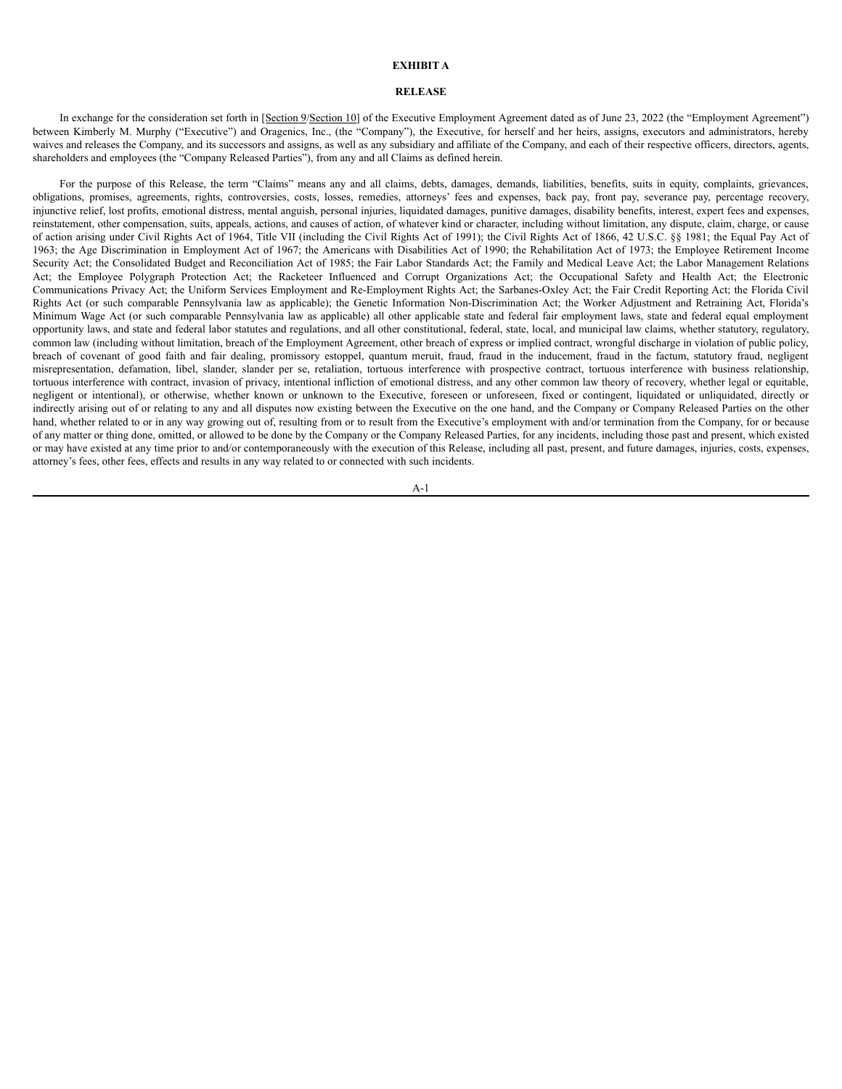#### **EXHIBIT A**

### **RELEASE**

In exchange for the consideration set forth in [Section 9/Section 10] of the Executive Employment Agreement dated as of June 23, 2022 (the "Employment Agreement") between Kimberly M. Murphy ("Executive") and Oragenics, Inc., (the "Company"), the Executive, for herself and her heirs, assigns, executors and administrators, hereby waives and releases the Company, and its successors and assigns, as well as any subsidiary and affiliate of the Company, and each of their respective officers, directors, agents, shareholders and employees (the "Company Released Parties"), from any and all Claims as defined herein.

For the purpose of this Release, the term "Claims" means any and all claims, debts, damages, demands, liabilities, benefits, suits in equity, complaints, grievances, obligations, promises, agreements, rights, controversies, costs, losses, remedies, attorneys' fees and expenses, back pay, front pay, severance pay, percentage recovery, injunctive relief, lost profits, emotional distress, mental anguish, personal injuries, liquidated damages, punitive damages, disability benefits, interest, expert fees and expenses, reinstatement, other compensation, suits, appeals, actions, and causes of action, of whatever kind or character, including without limitation, any dispute, claim, charge, or cause of action arising under Civil Rights Act of 1964, Title VII (including the Civil Rights Act of 1991); the Civil Rights Act of 1866, 42 U.S.C. §§ 1981; the Equal Pay Act of 1963; the Age Discrimination in Employment Act of 1967; the Americans with Disabilities Act of 1990; the Rehabilitation Act of 1973; the Employee Retirement Income Security Act; the Consolidated Budget and Reconciliation Act of 1985; the Fair Labor Standards Act; the Family and Medical Leave Act; the Labor Management Relations Act; the Employee Polygraph Protection Act; the Racketeer Influenced and Corrupt Organizations Act; the Occupational Safety and Health Act; the Electronic Communications Privacy Act; the Uniform Services Employment and Re-Employment Rights Act; the Sarbanes-Oxley Act; the Fair Credit Reporting Act; the Florida Civil Rights Act (or such comparable Pennsylvania law as applicable); the Genetic Information Non-Discrimination Act; the Worker Adjustment and Retraining Act, Florida's Minimum Wage Act (or such comparable Pennsylvania law as applicable) all other applicable state and federal fair employment laws, state and federal equal employment opportunity laws, and state and federal labor statutes and regulations, and all other constitutional, federal, state, local, and municipal law claims, whether statutory, regulatory, common law (including without limitation, breach of the Employment Agreement, other breach of express or implied contract, wrongful discharge in violation of public policy, breach of covenant of good faith and fair dealing, promissory estoppel, quantum meruit, fraud, fraud in the inducement, fraud in the factum, statutory fraud, negligent misrepresentation, defamation, libel, slander, slander per se, retaliation, tortuous interference with prospective contract, tortuous interference with business relationship, tortuous interference with contract, invasion of privacy, intentional infliction of emotional distress, and any other common law theory of recovery, whether legal or equitable, negligent or intentional), or otherwise, whether known or unknown to the Executive, foreseen or unforeseen, fixed or contingent, liquidated or unliquidated, directly or indirectly arising out of or relating to any and all disputes now existing between the Executive on the one hand, and the Company or Company Released Parties on the other hand, whether related to or in any way growing out of, resulting from or to result from the Executive's employment with and/or termination from the Company, for or because of any matter or thing done, omitted, or allowed to be done by the Company or the Company Released Parties, for any incidents, including those past and present, which existed or may have existed at any time prior to and/or contemporaneously with the execution of this Release, including all past, present, and future damages, injuries, costs, expenses, attorney's fees, other fees, effects and results in any way related to or connected with such incidents.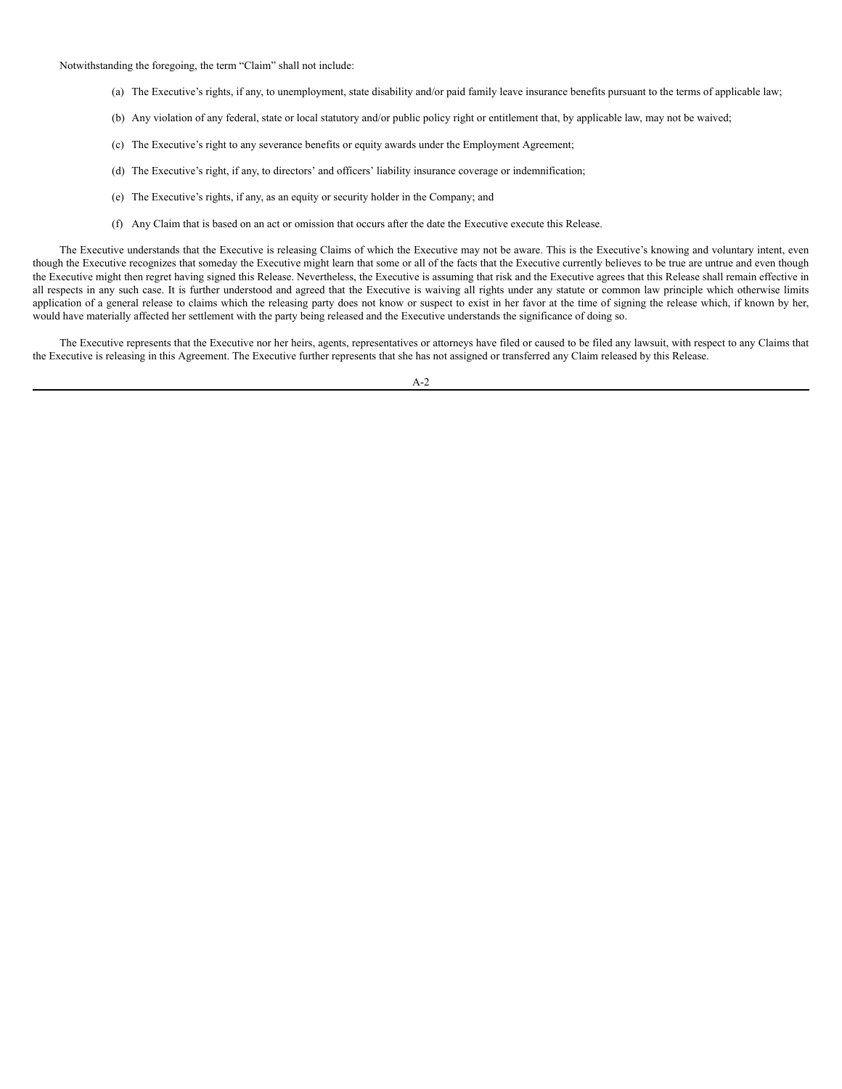Notwithstanding the foregoing, the term "Claim" shall not include:

- (a) The Executive's rights, if any, to unemployment, state disability and/or paid family leave insurance benefits pursuant to the terms of applicable law;
- (b) Any violation of any federal, state or local statutory and/or public policy right or entitlement that, by applicable law, may not be waived;
- (c) The Executive's right to any severance benefits or equity awards under the Employment Agreement;
- (d) The Executive's right, if any, to directors' and officers' liability insurance coverage or indemnification;
- (e) The Executive's rights, if any, as an equity or security holder in the Company; and
- (f) Any Claim that is based on an act or omission that occurs after the date the Executive execute this Release.

The Executive understands that the Executive is releasing Claims of which the Executive may not be aware. This is the Executive's knowing and voluntary intent, even though the Executive recognizes that someday the Executive might learn that some or all of the facts that the Executive currently believes to be true are untrue and even though the Executive might then regret having signed this Release. Nevertheless, the Executive is assuming that risk and the Executive agrees that this Release shall remain effective in all respects in any such case. It is further understood and agreed that the Executive is waiving all rights under any statute or common law principle which otherwise limits application of a general release to claims which the releasing party does not know or suspect to exist in her favor at the time of signing the release which, if known by her, would have materially affected her settlement with the party being released and the Executive understands the significance of doing so.

The Executive represents that the Executive nor her heirs, agents, representatives or attorneys have filed or caused to be filed any lawsuit, with respect to any Claims that the Executive is releasing in this Agreement. The Executive further represents that she has not assigned or transferred any Claim released by this Release.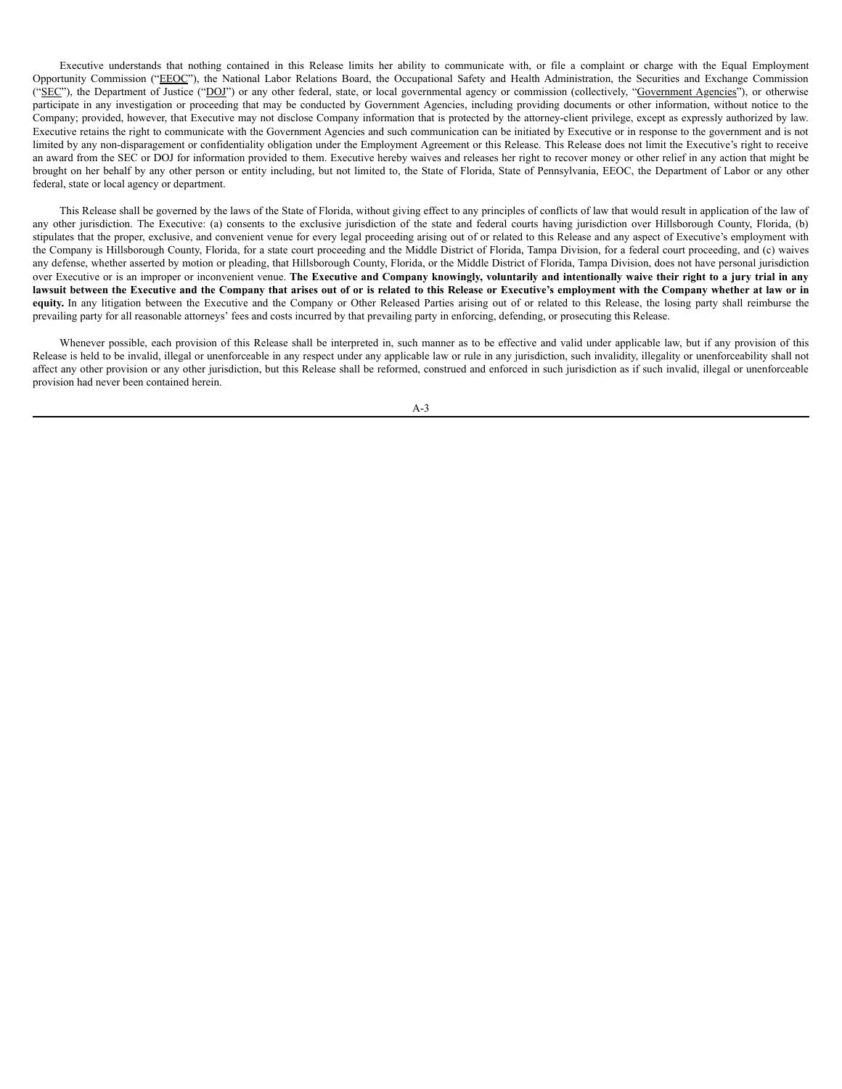Executive understands that nothing contained in this Release limits her ability to communicate with, or file a complaint or charge with the Equal Employment Opportunity Commission ("EEOC"), the National Labor Relations Board, the Occupational Safety and Health Administration, the Securities and Exchange Commission ("SEC"), the Department of Justice ("DOJ") or any other federal, state, or local governmental agency or commission (collectively, "Government Agencies"), or otherwise participate in any investigation or proceeding that may be conducted by Government Agencies, including providing documents or other information, without notice to the Company; provided, however, that Executive may not disclose Company information that is protected by the attorney-client privilege, except as expressly authorized by law. Executive retains the right to communicate with the Government Agencies and such communication can be initiated by Executive or in response to the government and is not limited by any non-disparagement or confidentiality obligation under the Employment Agreement or this Release. This Release does not limit the Executive's right to receive an award from the SEC or DOJ for information provided to them. Executive hereby waives and releases her right to recover money or other relief in any action that might be brought on her behalf by any other person or entity including, but not limited to, the State of Florida, State of Pennsylvania, EEOC, the Department of Labor or any other federal, state or local agency or department.

This Release shall be governed by the laws of the State of Florida, without giving effect to any principles of conflicts of law that would result in application of the law of any other jurisdiction. The Executive: (a) consents to the exclusive jurisdiction of the state and federal courts having jurisdiction over Hillsborough County, Florida, (b) stipulates that the proper, exclusive, and convenient venue for every legal proceeding arising out of or related to this Release and any aspect of Executive's employment with the Company is Hillsborough County, Florida, for a state court proceeding and the Middle District of Florida, Tampa Division, for a federal court proceeding, and (c) waives any defense, whether asserted by motion or pleading, that Hillsborough County, Florida, or the Middle District of Florida, Tampa Division, does not have personal jurisdiction over Executive or is an improper or inconvenient venue. The Executive and Company knowingly, voluntarily and intentionally waive their right to a jury trial in any lawsuit between the Executive and the Company that arises out of or is related to this Release or Executive's employment with the Company whether at law or in equity. In any litigation between the Executive and the Company or Other Released Parties arising out of or related to this Release, the losing party shall reimburse the prevailing party for all reasonable attorneys' fees and costs incurred by that prevailing party in enforcing, defending, or prosecuting this Release.

Whenever possible, each provision of this Release shall be interpreted in, such manner as to be effective and valid under applicable law, but if any provision of this Release is held to be invalid, illegal or unenforceable in any respect under any applicable law or rule in any jurisdiction, such invalidity, illegality or unenforceability shall not affect any other provision or any other jurisdiction, but this Release shall be reformed, construed and enforced in such jurisdiction as if such invalid, illegal or unenforceable provision had never been contained herein.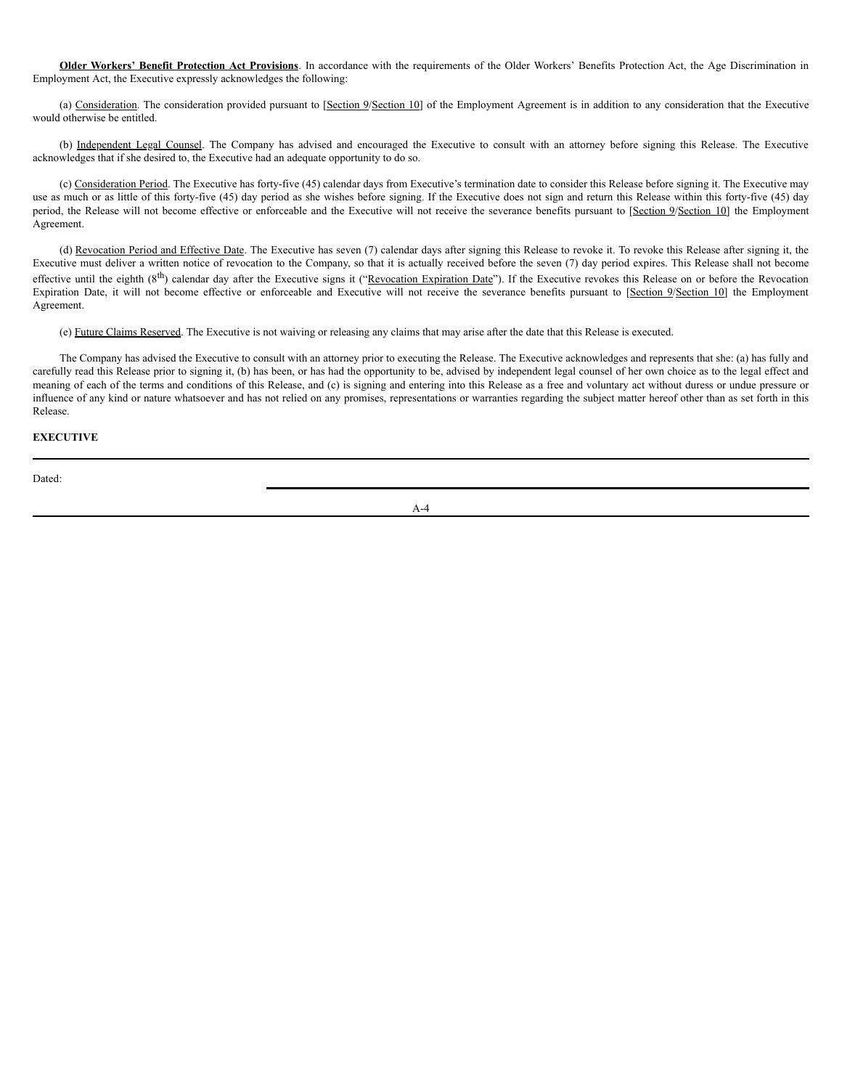**Older Workers' Benefit Protection Act Provisions**. In accordance with the requirements of the Older Workers' Benefits Protection Act, the Age Discrimination in Employment Act, the Executive expressly acknowledges the following:

(a) Consideration. The consideration provided pursuant to [Section 9/Section 10] of the Employment Agreement is in addition to any consideration that the Executive would otherwise be entitled.

(b) Independent Legal Counsel. The Company has advised and encouraged the Executive to consult with an attorney before signing this Release. The Executive acknowledges that if she desired to, the Executive had an adequate opportunity to do so.

(c) Consideration Period. The Executive has forty-five (45) calendar days from Executive's termination date to consider this Release before signing it. The Executive may use as much or as little of this forty-five (45) day period as she wishes before signing. If the Executive does not sign and return this Release within this forty-five (45) day period, the Release will not become effective or enforceable and the Executive will not receive the severance benefits pursuant to [Section 9/Section 10] the Employment Agreement.

(d) Revocation Period and Effective Date. The Executive has seven (7) calendar days after signing this Release to revoke it. To revoke this Release after signing it, the Executive must deliver a written notice of revocation to the Company, so that it is actually received before the seven (7) day period expires. This Release shall not become effective until the eighth ( $8<sup>th</sup>$ ) calendar day after the Executive signs it ("Revocation Expiration Date"). If the Executive revokes this Release on or before the Revocation Expiration Date, it will not become effective or enforceable and Executive will not receive the severance benefits pursuant to [Section 9/Section 10] the Employment Agreement.

(e) Future Claims Reserved. The Executive is not waiving or releasing any claims that may arise after the date that this Release is executed.

The Company has advised the Executive to consult with an attorney prior to executing the Release. The Executive acknowledges and represents that she: (a) has fully and carefully read this Release prior to signing it, (b) has been, or has had the opportunity to be, advised by independent legal counsel of her own choice as to the legal effect and meaning of each of the terms and conditions of this Release, and (c) is signing and entering into this Release as a free and voluntary act without duress or undue pressure or influence of any kind or nature whatsoever and has not relied on any promises, representations or warranties regarding the subject matter hereof other than as set forth in this Release.

# **EXECUTIVE**

Dated: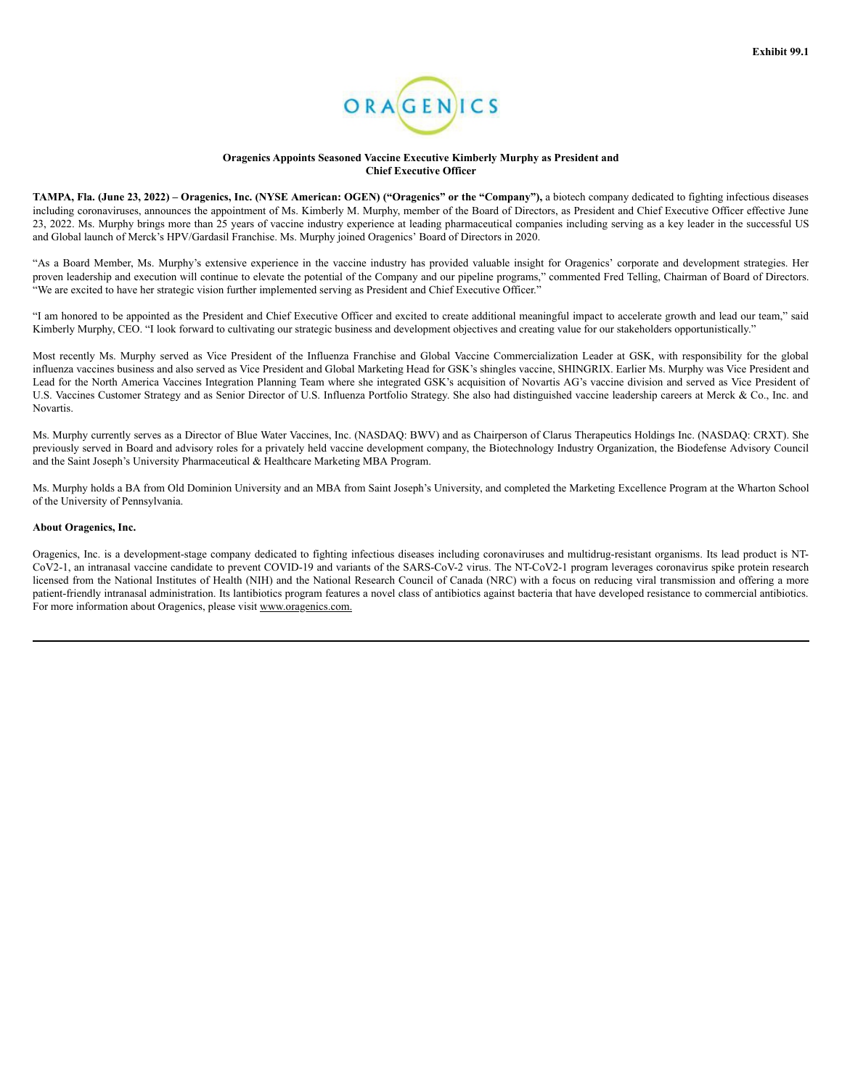

#### **Oragenics Appoints Seasoned Vaccine Executive Kimberly Murphy as President and Chief Executive Officer**

TAMPA, Fla. (June 23, 2022) - Oragenics, Inc. (NYSE American: OGEN) ("Oragenics" or the "Company"), a biotech company dedicated to fighting infectious diseases including coronaviruses, announces the appointment of Ms. Kimberly M. Murphy, member of the Board of Directors, as President and Chief Executive Officer effective June 23, 2022. Ms. Murphy brings more than 25 years of vaccine industry experience at leading pharmaceutical companies including serving as a key leader in the successful US and Global launch of Merck's HPV/Gardasil Franchise. Ms. Murphy joined Oragenics' Board of Directors in 2020.

"As a Board Member, Ms. Murphy's extensive experience in the vaccine industry has provided valuable insight for Oragenics' corporate and development strategies. Her proven leadership and execution will continue to elevate the potential of the Company and our pipeline programs," commented Fred Telling, Chairman of Board of Directors. "We are excited to have her strategic vision further implemented serving as President and Chief Executive Officer."

"I am honored to be appointed as the President and Chief Executive Officer and excited to create additional meaningful impact to accelerate growth and lead our team," said Kimberly Murphy, CEO. "I look forward to cultivating our strategic business and development objectives and creating value for our stakeholders opportunistically."

Most recently Ms. Murphy served as Vice President of the Influenza Franchise and Global Vaccine Commercialization Leader at GSK, with responsibility for the global influenza vaccines business and also served as Vice President and Global Marketing Head for GSK's shingles vaccine, SHINGRIX. Earlier Ms. Murphy was Vice President and Lead for the North America Vaccines Integration Planning Team where she integrated GSK's acquisition of Novartis AG's vaccine division and served as Vice President of U.S. Vaccines Customer Strategy and as Senior Director of U.S. Influenza Portfolio Strategy. She also had distinguished vaccine leadership careers at Merck & Co., Inc. and Novartis.

Ms. Murphy currently serves as a Director of Blue Water Vaccines, Inc. (NASDAQ: BWV) and as Chairperson of Clarus Therapeutics Holdings Inc. (NASDAQ: CRXT). She previously served in Board and advisory roles for a privately held vaccine development company, the Biotechnology Industry Organization, the Biodefense Advisory Council and the Saint Joseph's University Pharmaceutical & Healthcare Marketing MBA Program.

Ms. Murphy holds a BA from Old Dominion University and an MBA from Saint Joseph's University, and completed the Marketing Excellence Program at the Wharton School of the University of Pennsylvania.

#### **About Oragenics, Inc.**

Oragenics, Inc. is a development-stage company dedicated to fighting infectious diseases including coronaviruses and multidrug-resistant organisms. Its lead product is NT-CoV2-1, an intranasal vaccine candidate to prevent COVID-19 and variants of the SARS-CoV-2 virus. The NT-CoV2-1 program leverages coronavirus spike protein research licensed from the National Institutes of Health (NIH) and the National Research Council of Canada (NRC) with a focus on reducing viral transmission and offering a more patient-friendly intranasal administration. Its lantibiotics program features a novel class of antibiotics against bacteria that have developed resistance to commercial antibiotics. For more information about Oragenics, please visit www.oragenics.com.